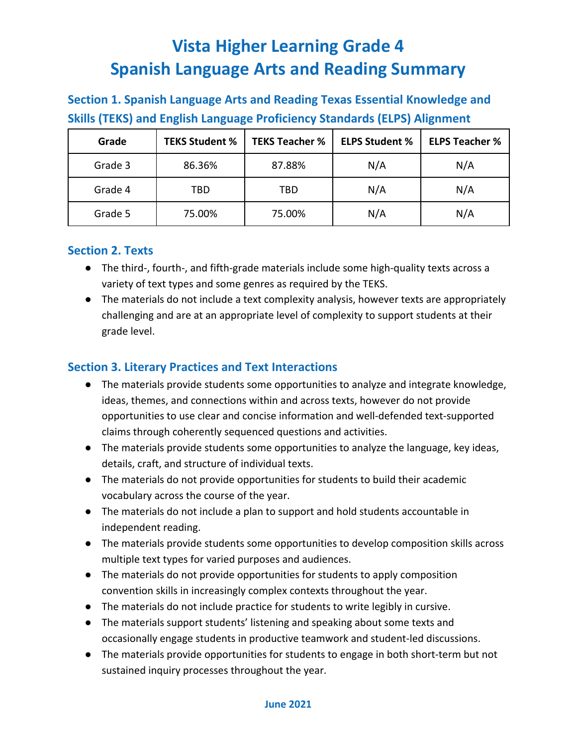## **Section 1. Spanish Language Arts and Reading Texas Essential Knowledge and Skills (TEKS) and English Language Proficiency Standards (ELPS) Alignment**

| Grade   | <b>TEKS Student %</b> | <b>TEKS Teacher %</b> | <b>ELPS Student %</b> | <b>ELPS Teacher %</b> |
|---------|-----------------------|-----------------------|-----------------------|-----------------------|
| Grade 3 | 86.36%                | 87.88%                | N/A                   | N/A                   |
| Grade 4 | TBD                   | TBD                   | N/A                   | N/A                   |
| Grade 5 | 75.00%                | 75.00%                | N/A                   | N/A                   |

#### **Section 2. Texts**

- The third-, fourth-, and fifth-grade materials include some high-quality texts across a variety of text types and some genres as required by the TEKS.
- The materials do not include a text complexity analysis, however texts are appropriately challenging and are at an appropriate level of complexity to support students at their grade level.

#### **Section 3. Literary Practices and Text Interactions**

- The materials provide students some opportunities to analyze and integrate knowledge, ideas, themes, and connections within and across texts, however do not provide opportunities to use clear and concise information and well-defended text-supported claims through coherently sequenced questions and activities.
- The materials provide students some opportunities to analyze the language, key ideas, details, craft, and structure of individual texts.
- The materials do not provide opportunities for students to build their academic vocabulary across the course of the year.
- The materials do not include a plan to support and hold students accountable in independent reading.
- The materials provide students some opportunities to develop composition skills across multiple text types for varied purposes and audiences.
- The materials do not provide opportunities for students to apply composition convention skills in increasingly complex contexts throughout the year.
- The materials do not include practice for students to write legibly in cursive.
- The materials support students' listening and speaking about some texts and occasionally engage students in productive teamwork and student-led discussions.
- The materials provide opportunities for students to engage in both short-term but not sustained inquiry processes throughout the year.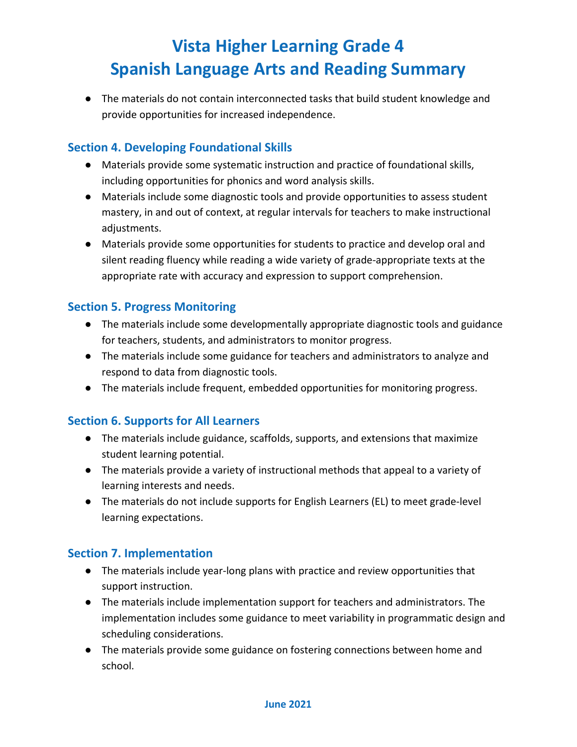● The materials do not contain interconnected tasks that build student knowledge and provide opportunities for increased independence.

#### **Section 4. Developing Foundational Skills**

- Materials provide some systematic instruction and practice of foundational skills, including opportunities for phonics and word analysis skills.
- Materials include some diagnostic tools and provide opportunities to assess student mastery, in and out of context, at regular intervals for teachers to make instructional adjustments.
- Materials provide some opportunities for students to practice and develop oral and silent reading fluency while reading a wide variety of grade-appropriate texts at the appropriate rate with accuracy and expression to support comprehension.

### **Section 5. Progress Monitoring**

- The materials include some developmentally appropriate diagnostic tools and guidance for teachers, students, and administrators to monitor progress.
- The materials include some guidance for teachers and administrators to analyze and respond to data from diagnostic tools.
- The materials include frequent, embedded opportunities for monitoring progress.

#### **Section 6. Supports for All Learners**

- The materials include guidance, scaffolds, supports, and extensions that maximize student learning potential.
- The materials provide a variety of instructional methods that appeal to a variety of learning interests and needs.
- The materials do not include supports for English Learners (EL) to meet grade-level learning expectations.

#### **Section 7. Implementation**

- The materials include year-long plans with practice and review opportunities that support instruction.
- The materials include implementation support for teachers and administrators. The implementation includes some guidance to meet variability in programmatic design and scheduling considerations.
- The materials provide some guidance on fostering connections between home and school.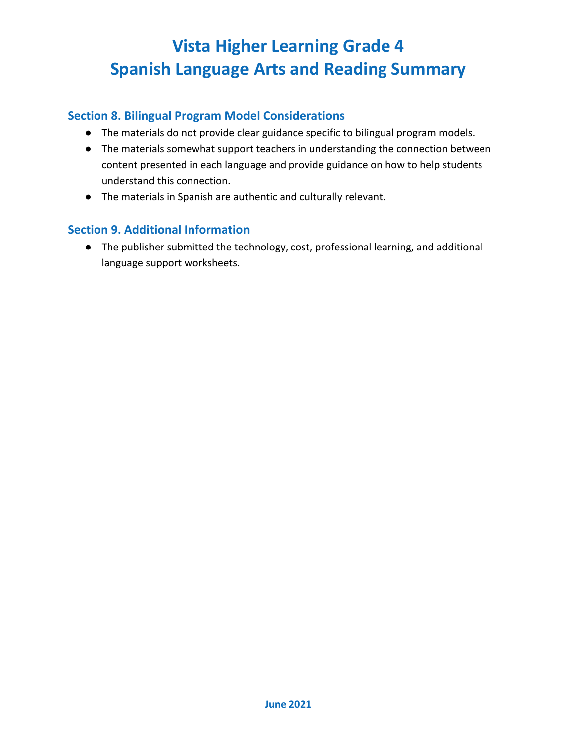#### **Section 8. Bilingual Program Model Considerations**

- The materials do not provide clear guidance specific to bilingual program models.
- The materials somewhat support teachers in understanding the connection between content presented in each language and provide guidance on how to help students understand this connection.
- The materials in Spanish are authentic and culturally relevant.

#### **Section 9. Additional Information**

● The publisher submitted the technology, cost, professional learning, and additional language support worksheets.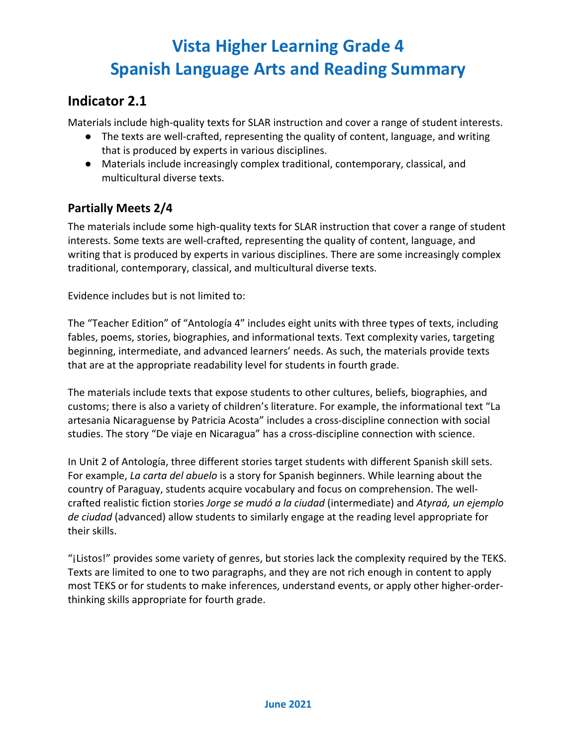### **Indicator 2.1**

Materials include high-quality texts for SLAR instruction and cover a range of student interests.

- The texts are well-crafted, representing the quality of content, language, and writing that is produced by experts in various disciplines.
- Materials include increasingly complex traditional, contemporary, classical, and multicultural diverse texts.

### **Partially Meets 2/4**

The materials include some high-quality texts for SLAR instruction that cover a range of student interests. Some texts are well-crafted, representing the quality of content, language, and writing that is produced by experts in various disciplines. There are some increasingly complex traditional, contemporary, classical, and multicultural diverse texts.

Evidence includes but is not limited to:

The "Teacher Edition" of "Antología 4" includes eight units with three types of texts, including fables, poems, stories, biographies, and informational texts. Text complexity varies, targeting beginning, intermediate, and advanced learners' needs. As such, the materials provide texts that are at the appropriate readability level for students in fourth grade.

The materials include texts that expose students to other cultures, beliefs, biographies, and customs; there is also a variety of children's literature. For example, the informational text "La artesania Nicaraguense by Patricia Acosta" includes a cross-discipline connection with social studies. The story "De viaje en Nicaragua" has a cross-discipline connection with science.

In Unit 2 of Antología, three different stories target students with different Spanish skill sets. For example, *La carta del abuelo* is a story for Spanish beginners. While learning about the country of Paraguay, students acquire vocabulary and focus on comprehension. The wellcrafted realistic fiction stories *Jorge se mudó a la ciudad* (intermediate) and *Atyraá, un ejemplo de ciudad* (advanced) allow students to similarly engage at the reading level appropriate for their skills.

"¡Listos!" provides some variety of genres, but stories lack the complexity required by the TEKS. Texts are limited to one to two paragraphs, and they are not rich enough in content to apply most TEKS or for students to make inferences, understand events, or apply other higher-orderthinking skills appropriate for fourth grade.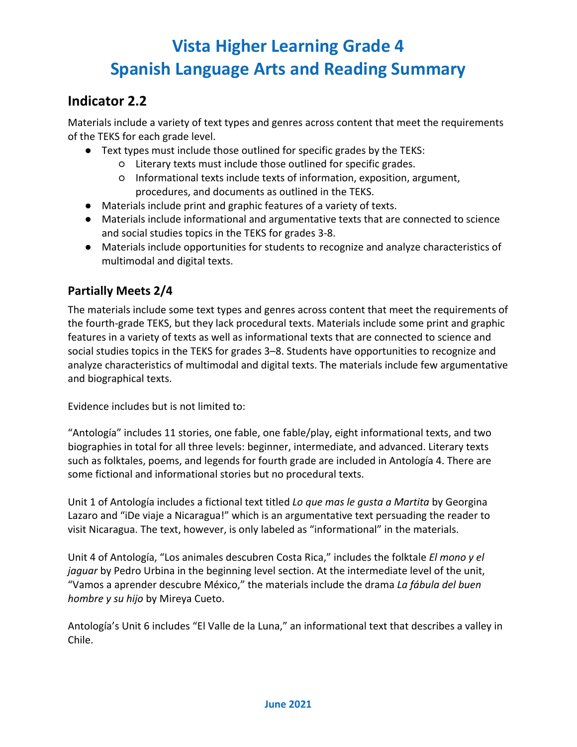### **Indicator 2.2**

Materials include a variety of text types and genres across content that meet the requirements of the TEKS for each grade level.

- Text types must include those outlined for specific grades by the TEKS:
	- Literary texts must include those outlined for specific grades.
	- Informational texts include texts of information, exposition, argument, procedures, and documents as outlined in the TEKS.
- Materials include print and graphic features of a variety of texts.
- Materials include informational and argumentative texts that are connected to science and social studies topics in the TEKS for grades 3-8.
- Materials include opportunities for students to recognize and analyze characteristics of multimodal and digital texts.

### **Partially Meets 2/4**

The materials include some text types and genres across content that meet the requirements of the fourth-grade TEKS, but they lack procedural texts. Materials include some print and graphic features in a variety of texts as well as informational texts that are connected to science and social studies topics in the TEKS for grades 3–8. Students have opportunities to recognize and analyze characteristics of multimodal and digital texts. The materials include few argumentative and biographical texts.

Evidence includes but is not limited to:

"Antología" includes 11 stories, one fable, one fable/play, eight informational texts, and two biographies in total for all three levels: beginner, intermediate, and advanced. Literary texts such as folktales, poems, and legends for fourth grade are included in Antología 4. There are some fictional and informational stories but no procedural texts.

Unit 1 of Antología includes a fictional text titled *Lo que mas le gusta a Martita* by Georgina Lazaro and "iDe viaje a Nicaragua!" which is an argumentative text persuading the reader to visit Nicaragua. The text, however, is only labeled as "informational" in the materials.

Unit 4 of Antología, "Los animales descubren Costa Rica," includes the folktale *El mono y el jaguar* by Pedro Urbina in the beginning level section. At the intermediate level of the unit, "Vamos a aprender descubre México," the materials include the drama *La fábula del buen hombre y su hijo* by Mireya Cueto.

Antología's Unit 6 includes "El Valle de la Luna," an informational text that describes a valley in Chile.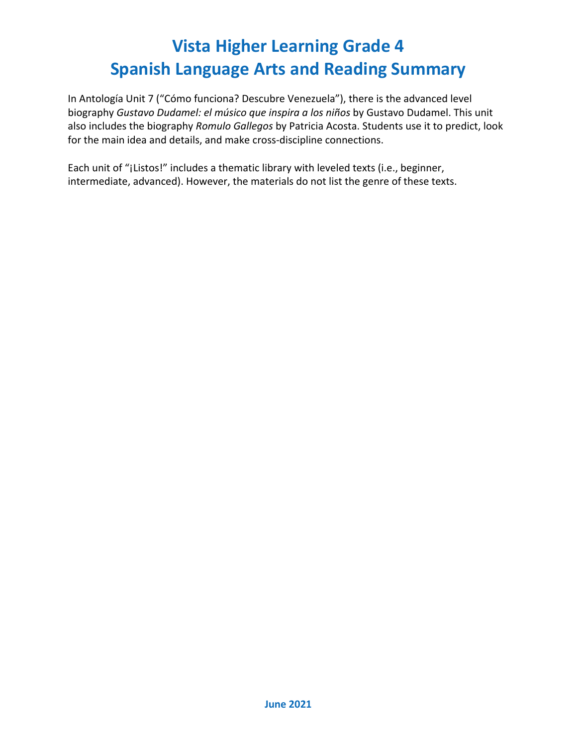In Antología Unit 7 ("Cómo funciona? Descubre Venezuela"), there is the advanced level biography *Gustavo Dudamel: el músico que inspira a los niños* by Gustavo Dudamel. This unit also includes the biography *Romulo Gallegos* by Patricia Acosta. Students use it to predict, look for the main idea and details, and make cross-discipline connections.

Each unit of "¡Listos!" includes a thematic library with leveled texts (i.e., beginner, intermediate, advanced). However, the materials do not list the genre of these texts.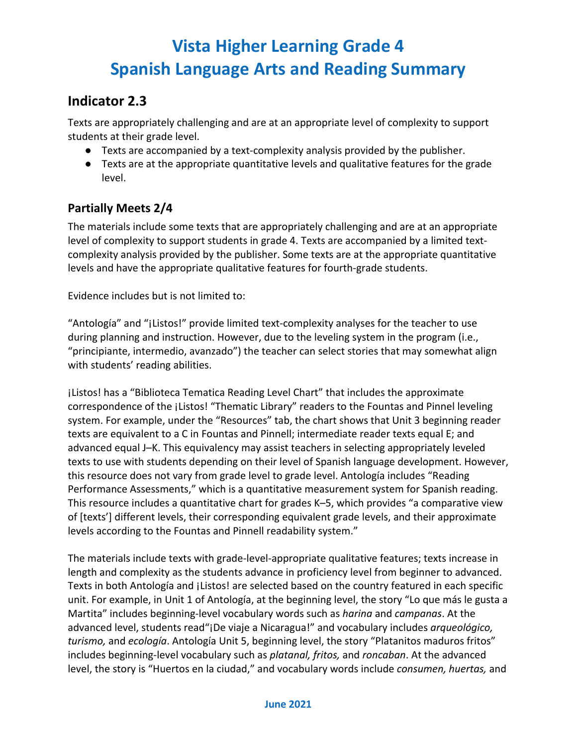### **Indicator 2.3**

Texts are appropriately challenging and are at an appropriate level of complexity to support students at their grade level.

- Texts are accompanied by a text-complexity analysis provided by the publisher.
- Texts are at the appropriate quantitative levels and qualitative features for the grade level.

#### **Partially Meets 2/4**

The materials include some texts that are appropriately challenging and are at an appropriate level of complexity to support students in grade 4. Texts are accompanied by a limited textcomplexity analysis provided by the publisher. Some texts are at the appropriate quantitative levels and have the appropriate qualitative features for fourth-grade students.

Evidence includes but is not limited to:

"Antología" and "¡Listos!" provide limited text-complexity analyses for the teacher to use during planning and instruction. However, due to the leveling system in the program (i.e., "principiante, intermedio, avanzado") the teacher can select stories that may somewhat align with students' reading abilities.

¡Listos! has a "Biblioteca Tematica Reading Level Chart" that includes the approximate correspondence of the ¡Listos! "Thematic Library" readers to the Fountas and Pinnel leveling system. For example, under the "Resources" tab, the chart shows that Unit 3 beginning reader texts are equivalent to a C in Fountas and Pinnell; intermediate reader texts equal E; and advanced equal J–K. This equivalency may assist teachers in selecting appropriately leveled texts to use with students depending on their level of Spanish language development. However, this resource does not vary from grade level to grade level. Antología includes "Reading Performance Assessments," which is a quantitative measurement system for Spanish reading. This resource includes a quantitative chart for grades K–5, which provides "a comparative view of [texts'] different levels, their corresponding equivalent grade levels, and their approximate levels according to the Fountas and Pinnell readability system."

The materials include texts with grade-level-appropriate qualitative features; texts increase in length and complexity as the students advance in proficiency level from beginner to advanced. Texts in both Antología and ¡Listos! are selected based on the country featured in each specific unit. For example, in Unit 1 of Antología, at the beginning level, the story "Lo que más le gusta a Martita" includes beginning-level vocabulary words such as *harina* and *campanas*. At the advanced level, students read"¡De viaje a Nicaragua!" and vocabulary includes *arqueológico, turismo,* and *ecología*. Antología Unit 5, beginning level, the story "Platanitos maduros fritos" includes beginning-level vocabulary such as *platanal, fritos,* and *roncaban*. At the advanced level, the story is "Huertos en la ciudad," and vocabulary words include *consumen, huertas,* and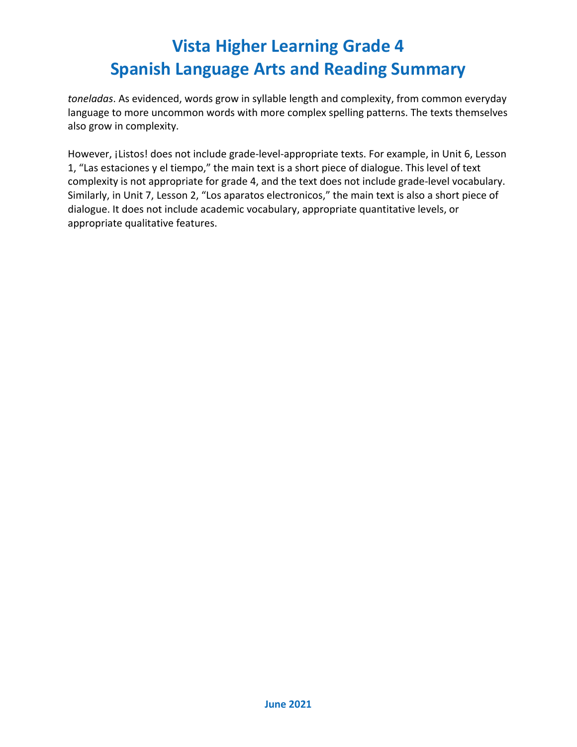*toneladas*. As evidenced, words grow in syllable length and complexity, from common everyday language to more uncommon words with more complex spelling patterns. The texts themselves also grow in complexity.

However, ¡Listos! does not include grade-level-appropriate texts. For example, in Unit 6, Lesson 1, "Las estaciones y el tiempo," the main text is a short piece of dialogue. This level of text complexity is not appropriate for grade 4, and the text does not include grade-level vocabulary. Similarly, in Unit 7, Lesson 2, "Los aparatos electronicos," the main text is also a short piece of dialogue. It does not include academic vocabulary, appropriate quantitative levels, or appropriate qualitative features.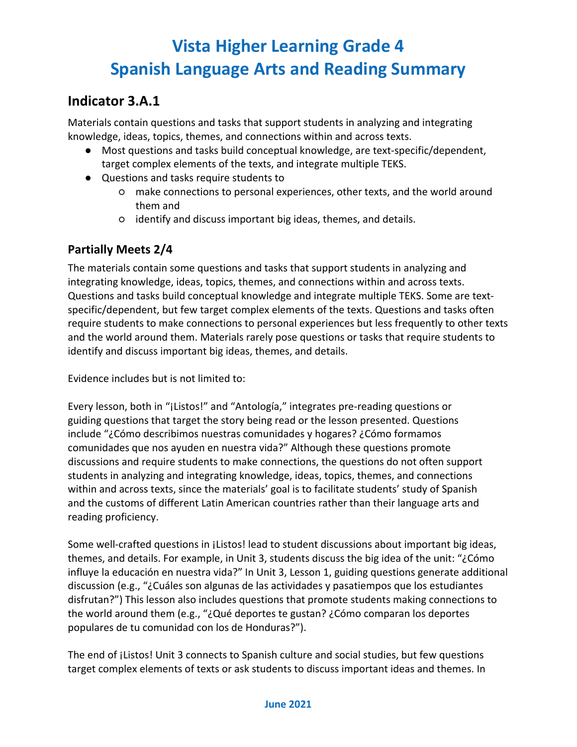### **Indicator 3.A.1**

Materials contain questions and tasks that support students in analyzing and integrating knowledge, ideas, topics, themes, and connections within and across texts.

- Most questions and tasks build conceptual knowledge, are text-specific/dependent, target complex elements of the texts, and integrate multiple TEKS.
- Questions and tasks require students to
	- make connections to personal experiences, other texts, and the world around them and
	- identify and discuss important big ideas, themes, and details.

#### **Partially Meets 2/4**

The materials contain some questions and tasks that support students in analyzing and integrating knowledge, ideas, topics, themes, and connections within and across texts. Questions and tasks build conceptual knowledge and integrate multiple TEKS. Some are textspecific/dependent, but few target complex elements of the texts. Questions and tasks often require students to make connections to personal experiences but less frequently to other texts and the world around them. Materials rarely pose questions or tasks that require students to identify and discuss important big ideas, themes, and details.

Evidence includes but is not limited to:

Every lesson, both in "¡Listos!" and "Antología," integrates pre-reading questions or guiding questions that target the story being read or the lesson presented. Questions include "¿Cómo describimos nuestras comunidades y hogares? ¿Cómo formamos comunidades que nos ayuden en nuestra vida?" Although these questions promote discussions and require students to make connections, the questions do not often support students in analyzing and integrating knowledge, ideas, topics, themes, and connections within and across texts, since the materials' goal is to facilitate students' study of Spanish and the customs of different Latin American countries rather than their language arts and reading proficiency.

Some well-crafted questions in ¡Listos! lead to student discussions about important big ideas, themes, and details. For example, in Unit 3, students discuss the big idea of the unit: "¿Cómo influye la educación en nuestra vida?" In Unit 3, Lesson 1, guiding questions generate additional discussion (e.g., "¿Cuáles son algunas de las actividades y pasatiempos que los estudiantes disfrutan?") This lesson also includes questions that promote students making connections to the world around them (e.g., "¿Qué deportes te gustan? ¿Cómo comparan los deportes populares de tu comunidad con los de Honduras?").

The end of *i*Listos! Unit 3 connects to Spanish culture and social studies, but few questions target complex elements of texts or ask students to discuss important ideas and themes. In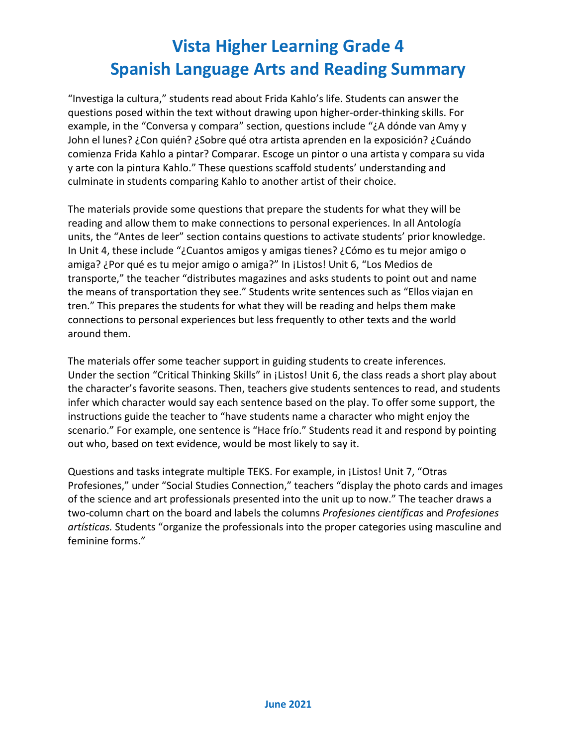"Investiga la cultura," students read about Frida Kahlo's life. Students can answer the questions posed within the text without drawing upon higher-order-thinking skills. For example, in the "Conversa y compara" section, questions include "¿A dónde van Amy y John el lunes? ¿Con quién? ¿Sobre qué otra artista aprenden en la exposición? ¿Cuándo comienza Frida Kahlo a pintar? Comparar. Escoge un pintor o una artista y compara su vida y arte con la pintura Kahlo." These questions scaffold students' understanding and culminate in students comparing Kahlo to another artist of their choice.

The materials provide some questions that prepare the students for what they will be reading and allow them to make connections to personal experiences. In all Antología units, the "Antes de leer" section contains questions to activate students' prior knowledge. In Unit 4, these include "¿Cuantos amigos y amigas tienes? ¿Cómo es tu mejor amigo o amiga? ¿Por qué es tu mejor amigo o amiga?" In ¡Listos! Unit 6, "Los Medios de transporte," the teacher "distributes magazines and asks students to point out and name the means of transportation they see." Students write sentences such as "Ellos viajan en tren." This prepares the students for what they will be reading and helps them make connections to personal experiences but less frequently to other texts and the world around them.

The materials offer some teacher support in guiding students to create inferences. Under the section "Critical Thinking Skills" in ¡Listos! Unit 6, the class reads a short play about the character's favorite seasons. Then, teachers give students sentences to read, and students infer which character would say each sentence based on the play. To offer some support, the instructions guide the teacher to "have students name a character who might enjoy the scenario." For example, one sentence is "Hace frío." Students read it and respond by pointing out who, based on text evidence, would be most likely to say it.

Questions and tasks integrate multiple TEKS. For example, in ¡Listos! Unit 7, "Otras Profesiones," under "Social Studies Connection," teachers "display the photo cards and images of the science and art professionals presented into the unit up to now." The teacher draws a two-column chart on the board and labels the columns *Profesiones científicas* and *Profesiones artísticas.* Students "organize the professionals into the proper categories using masculine and feminine forms."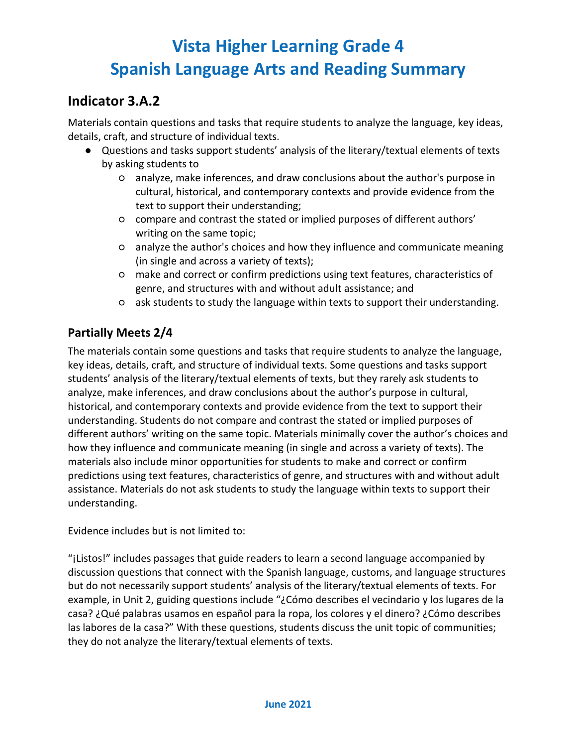## **Indicator 3.A.2**

Materials contain questions and tasks that require students to analyze the language, key ideas, details, craft, and structure of individual texts.

- Questions and tasks support students' analysis of the literary/textual elements of texts by asking students to
	- analyze, make inferences, and draw conclusions about the author's purpose in cultural, historical, and contemporary contexts and provide evidence from the text to support their understanding;
	- compare and contrast the stated or implied purposes of different authors' writing on the same topic;
	- analyze the author's choices and how they influence and communicate meaning (in single and across a variety of texts);
	- make and correct or confirm predictions using text features, characteristics of genre, and structures with and without adult assistance; and
	- ask students to study the language within texts to support their understanding.

### **Partially Meets 2/4**

The materials contain some questions and tasks that require students to analyze the language, key ideas, details, craft, and structure of individual texts. Some questions and tasks support students' analysis of the literary/textual elements of texts, but they rarely ask students to analyze, make inferences, and draw conclusions about the author's purpose in cultural, historical, and contemporary contexts and provide evidence from the text to support their understanding. Students do not compare and contrast the stated or implied purposes of different authors' writing on the same topic. Materials minimally cover the author's choices and how they influence and communicate meaning (in single and across a variety of texts). The materials also include minor opportunities for students to make and correct or confirm predictions using text features, characteristics of genre, and structures with and without adult assistance. Materials do not ask students to study the language within texts to support their understanding.

Evidence includes but is not limited to:

"¡Listos!" includes passages that guide readers to learn a second language accompanied by discussion questions that connect with the Spanish language, customs, and language structures but do not necessarily support students' analysis of the literary/textual elements of texts. For example, in Unit 2, guiding questions include "¿Cómo describes el vecindario y los lugares de la casa? ¿Qué palabras usamos en español para la ropa, los colores y el dinero? ¿Cómo describes las labores de la casa?" With these questions, students discuss the unit topic of communities; they do not analyze the literary/textual elements of texts.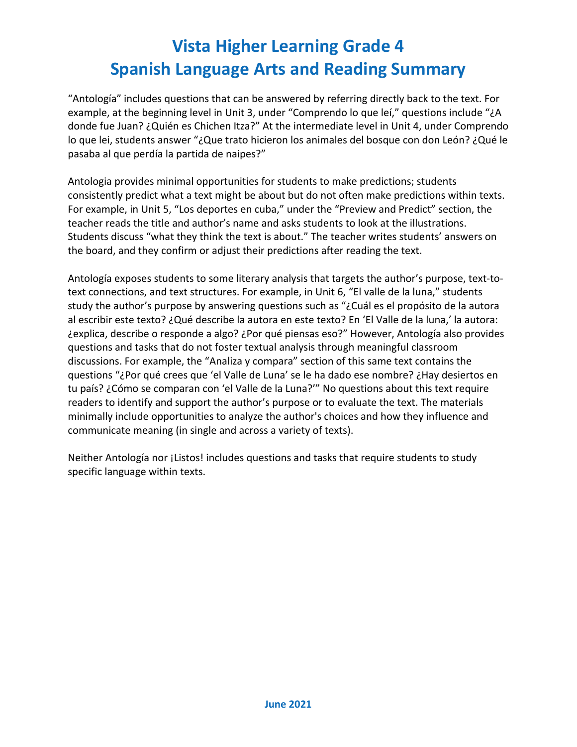"Antología" includes questions that can be answered by referring directly back to the text. For example, at the beginning level in Unit 3, under "Comprendo lo que leí," questions include "¿A donde fue Juan? ¿Quién es Chichen Itza?" At the intermediate level in Unit 4, under Comprendo lo que lei, students answer "¿Que trato hicieron los animales del bosque con don León? ¿Qué le pasaba al que perdía la partida de naipes?"

Antologia provides minimal opportunities for students to make predictions; students consistently predict what a text might be about but do not often make predictions within texts. For example, in Unit 5, "Los deportes en cuba," under the "Preview and Predict" section, the teacher reads the title and author's name and asks students to look at the illustrations. Students discuss "what they think the text is about." The teacher writes students' answers on the board, and they confirm or adjust their predictions after reading the text.

Antología exposes students to some literary analysis that targets the author's purpose, text-totext connections, and text structures. For example, in Unit 6, "El valle de la luna," students study the author's purpose by answering questions such as "¿Cuál es el propósito de la autora al escribir este texto? ¿Qué describe la autora en este texto? En 'El Valle de la luna,' la autora: ¿explica, describe o responde a algo? ¿Por qué piensas eso?" However, Antología also provides questions and tasks that do not foster textual analysis through meaningful classroom discussions. For example, the "Analiza y compara" section of this same text contains the questions "¿Por qué crees que 'el Valle de Luna' se le ha dado ese nombre? ¿Hay desiertos en tu país? ¿Cómo se comparan con 'el Valle de la Luna?'" No questions about this text require readers to identify and support the author's purpose or to evaluate the text. The materials minimally include opportunities to analyze the author's choices and how they influence and communicate meaning (in single and across a variety of texts).

Neither Antología nor ¡Listos! includes questions and tasks that require students to study specific language within texts.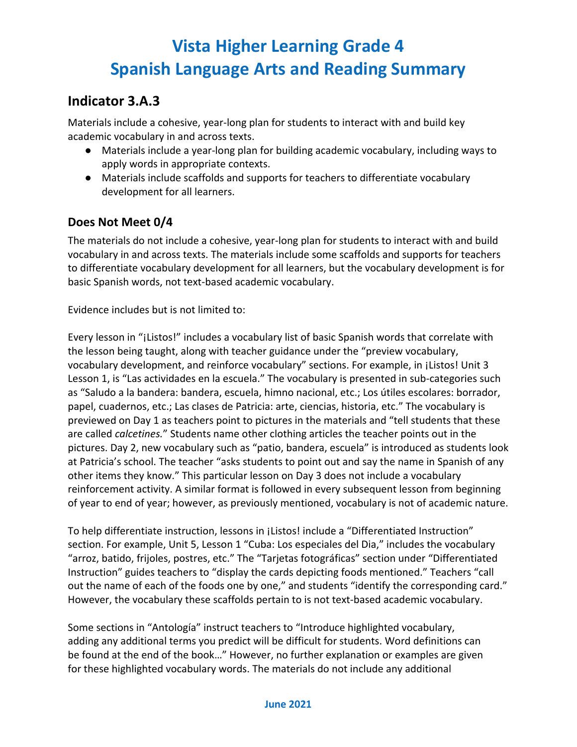### **Indicator 3.A.3**

Materials include a cohesive, year-long plan for students to interact with and build key academic vocabulary in and across texts.

- Materials include a year-long plan for building academic vocabulary, including ways to apply words in appropriate contexts.
- Materials include scaffolds and supports for teachers to differentiate vocabulary development for all learners.

### **Does Not Meet 0/4**

The materials do not include a cohesive, year-long plan for students to interact with and build vocabulary in and across texts. The materials include some scaffolds and supports for teachers to differentiate vocabulary development for all learners, but the vocabulary development is for basic Spanish words, not text-based academic vocabulary.

Evidence includes but is not limited to:

Every lesson in "¡Listos!" includes a vocabulary list of basic Spanish words that correlate with the lesson being taught, along with teacher guidance under the "preview vocabulary, vocabulary development, and reinforce vocabulary" sections. For example, in ¡Listos! Unit 3 Lesson 1, is "Las actividades en la escuela." The vocabulary is presented in sub-categories such as "Saludo a la bandera: bandera, escuela, himno nacional, etc.; Los útiles escolares: borrador, papel, cuadernos, etc.; Las clases de Patricia: arte, ciencias, historia, etc." The vocabulary is previewed on Day 1 as teachers point to pictures in the materials and "tell students that these are called *calcetines.*" Students name other clothing articles the teacher points out in the pictures. Day 2, new vocabulary such as "patio, bandera, escuela" is introduced as students look at Patricia's school. The teacher "asks students to point out and say the name in Spanish of any other items they know." This particular lesson on Day 3 does not include a vocabulary reinforcement activity. A similar format is followed in every subsequent lesson from beginning of year to end of year; however, as previously mentioned, vocabulary is not of academic nature.

To help differentiate instruction, lessons in ¡Listos! include a "Differentiated Instruction" section. For example, Unit 5, Lesson 1 "Cuba: Los especiales del Dia," includes the vocabulary "arroz, batido, frijoles, postres, etc." The "Tarjetas fotográficas" section under "Differentiated Instruction" guides teachers to "display the cards depicting foods mentioned." Teachers "call out the name of each of the foods one by one," and students "identify the corresponding card." However, the vocabulary these scaffolds pertain to is not text-based academic vocabulary.

Some sections in "Antología" instruct teachers to "Introduce highlighted vocabulary, adding any additional terms you predict will be difficult for students. Word definitions can be found at the end of the book…" However, no further explanation or examples are given for these highlighted vocabulary words. The materials do not include any additional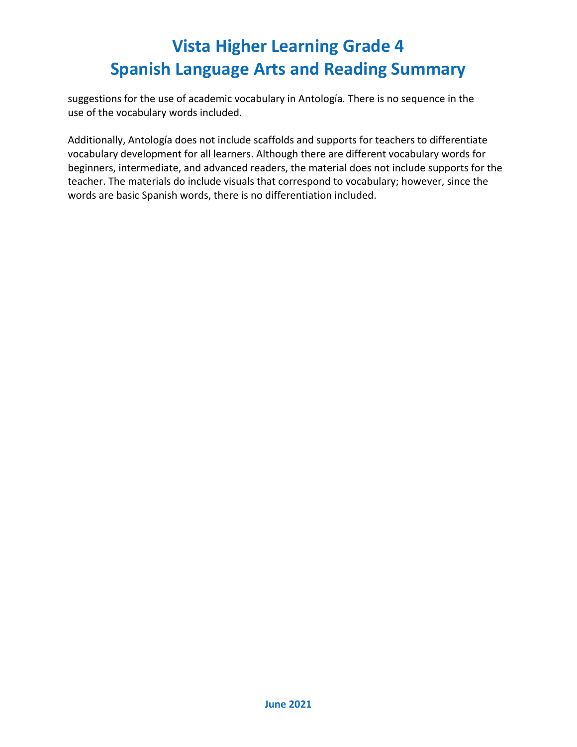suggestions for the use of academic vocabulary in Antología*.* There is no sequence in the use of the vocabulary words included.

Additionally, Antología does not include scaffolds and supports for teachers to differentiate vocabulary development for all learners. Although there are different vocabulary words for beginners, intermediate, and advanced readers, the material does not include supports for the teacher. The materials do include visuals that correspond to vocabulary; however, since the words are basic Spanish words, there is no differentiation included.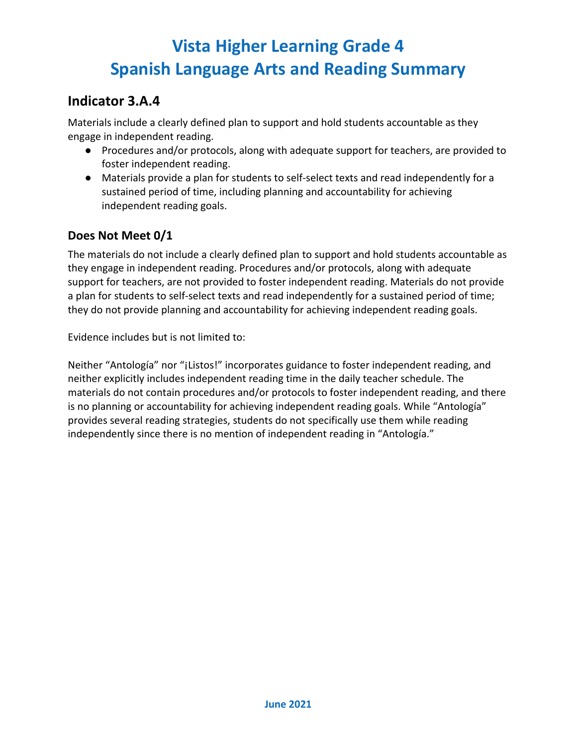## **Indicator 3.A.4**

Materials include a clearly defined plan to support and hold students accountable as they engage in independent reading.

- Procedures and/or protocols, along with adequate support for teachers, are provided to foster independent reading.
- Materials provide a plan for students to self-select texts and read independently for a sustained period of time, including planning and accountability for achieving independent reading goals.

### **Does Not Meet 0/1**

The materials do not include a clearly defined plan to support and hold students accountable as they engage in independent reading. Procedures and/or protocols, along with adequate support for teachers, are not provided to foster independent reading. Materials do not provide a plan for students to self-select texts and read independently for a sustained period of time; they do not provide planning and accountability for achieving independent reading goals.

Evidence includes but is not limited to:

Neither "Antología" nor "¡Listos!" incorporates guidance to foster independent reading, and neither explicitly includes independent reading time in the daily teacher schedule. The materials do not contain procedures and/or protocols to foster independent reading, and there is no planning or accountability for achieving independent reading goals. While "Antología" provides several reading strategies, students do not specifically use them while reading independently since there is no mention of independent reading in "Antología."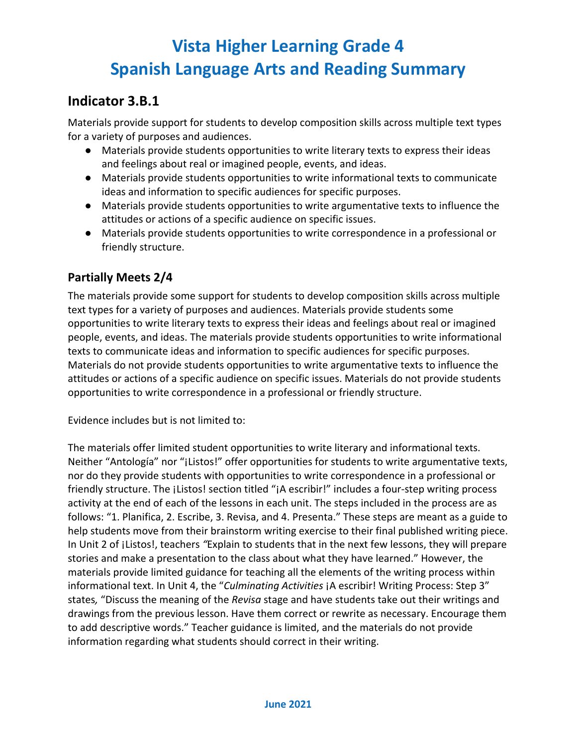### **Indicator 3.B.1**

Materials provide support for students to develop composition skills across multiple text types for a variety of purposes and audiences.

- Materials provide students opportunities to write literary texts to express their ideas and feelings about real or imagined people, events, and ideas.
- Materials provide students opportunities to write informational texts to communicate ideas and information to specific audiences for specific purposes.
- Materials provide students opportunities to write argumentative texts to influence the attitudes or actions of a specific audience on specific issues.
- Materials provide students opportunities to write correspondence in a professional or friendly structure.

#### **Partially Meets 2/4**

The materials provide some support for students to develop composition skills across multiple text types for a variety of purposes and audiences. Materials provide students some opportunities to write literary texts to express their ideas and feelings about real or imagined people, events, and ideas. The materials provide students opportunities to write informational texts to communicate ideas and information to specific audiences for specific purposes. Materials do not provide students opportunities to write argumentative texts to influence the attitudes or actions of a specific audience on specific issues. Materials do not provide students opportunities to write correspondence in a professional or friendly structure.

Evidence includes but is not limited to:

The materials offer limited student opportunities to write literary and informational texts. Neither "Antología" nor "¡Listos!" offer opportunities for students to write argumentative texts, nor do they provide students with opportunities to write correspondence in a professional or friendly structure. The ¡Listos! section titled "¡A escribir!" includes a four-step writing process activity at the end of each of the lessons in each unit. The steps included in the process are as follows: "1. Planifica, 2. Escribe, 3. Revisa, and 4. Presenta." These steps are meant as a guide to help students move from their brainstorm writing exercise to their final published writing piece. In Unit 2 of ¡Listos!, teachers *"*Explain to students that in the next few lessons, they will prepare stories and make a presentation to the class about what they have learned." However, the materials provide limited guidance for teaching all the elements of the writing process within informational text. In Unit 4, the "*Culminating Activities* ¡A escribir! Writing Process: Step 3" states*,* "Discuss the meaning of the *Revisa* stage and have students take out their writings and drawings from the previous lesson. Have them correct or rewrite as necessary. Encourage them to add descriptive words." Teacher guidance is limited, and the materials do not provide information regarding what students should correct in their writing.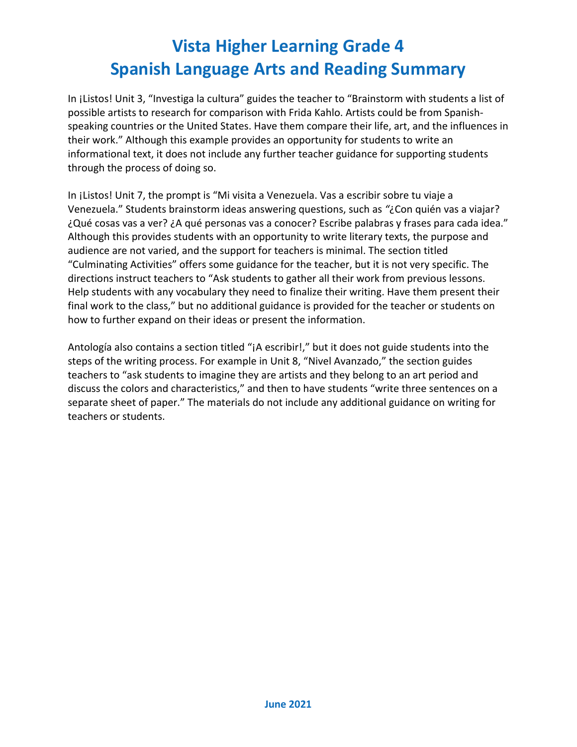In ¡Listos! Unit 3, "Investiga la cultura" guides the teacher to "Brainstorm with students a list of possible artists to research for comparison with Frida Kahlo. Artists could be from Spanishspeaking countries or the United States. Have them compare their life, art, and the influences in their work." Although this example provides an opportunity for students to write an informational text, it does not include any further teacher guidance for supporting students through the process of doing so.

In ¡Listos! Unit 7, the prompt is "Mi visita a Venezuela. Vas a escribir sobre tu viaje a Venezuela." Students brainstorm ideas answering questions, such as *"*¿Con quién vas a viajar? ¿Qué cosas vas a ver? ¿A qué personas vas a conocer? Escribe palabras y frases para cada idea." Although this provides students with an opportunity to write literary texts, the purpose and audience are not varied, and the support for teachers is minimal. The section titled "Culminating Activities" offers some guidance for the teacher, but it is not very specific. The directions instruct teachers to "Ask students to gather all their work from previous lessons. Help students with any vocabulary they need to finalize their writing. Have them present their final work to the class," but no additional guidance is provided for the teacher or students on how to further expand on their ideas or present the information.

Antología also contains a section titled "¡A escribir!," but it does not guide students into the steps of the writing process. For example in Unit 8, "Nivel Avanzado," the section guides teachers to "ask students to imagine they are artists and they belong to an art period and discuss the colors and characteristics," and then to have students "write three sentences on a separate sheet of paper." The materials do not include any additional guidance on writing for teachers or students.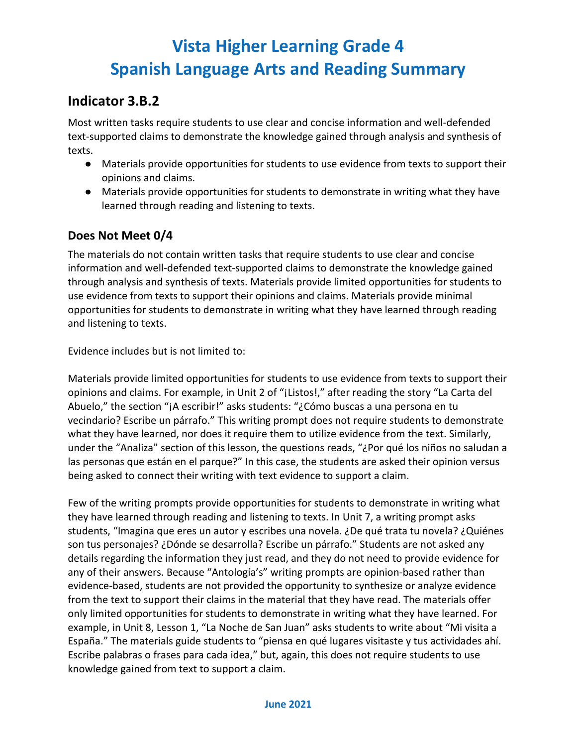### **Indicator 3.B.2**

Most written tasks require students to use clear and concise information and well-defended text-supported claims to demonstrate the knowledge gained through analysis and synthesis of texts.

- Materials provide opportunities for students to use evidence from texts to support their opinions and claims.
- Materials provide opportunities for students to demonstrate in writing what they have learned through reading and listening to texts.

### **Does Not Meet 0/4**

The materials do not contain written tasks that require students to use clear and concise information and well-defended text-supported claims to demonstrate the knowledge gained through analysis and synthesis of texts. Materials provide limited opportunities for students to use evidence from texts to support their opinions and claims. Materials provide minimal opportunities for students to demonstrate in writing what they have learned through reading and listening to texts.

Evidence includes but is not limited to:

Materials provide limited opportunities for students to use evidence from texts to support their opinions and claims. For example, in Unit 2 of "¡Listos!," after reading the story "La Carta del Abuelo," the section "¡A escribir!" asks students: "¿Cómo buscas a una persona en tu vecindario? Escribe un párrafo." This writing prompt does not require students to demonstrate what they have learned, nor does it require them to utilize evidence from the text. Similarly, under the "Analiza" section of this lesson, the questions reads, "¿Por qué los niños no saludan a las personas que están en el parque?" In this case, the students are asked their opinion versus being asked to connect their writing with text evidence to support a claim.

Few of the writing prompts provide opportunities for students to demonstrate in writing what they have learned through reading and listening to texts. In Unit 7, a writing prompt asks students, "Imagina que eres un autor y escribes una novela. ¿De qué trata tu novela? ¿Quiénes son tus personajes? ¿Dónde se desarrolla? Escribe un párrafo." Students are not asked any details regarding the information they just read, and they do not need to provide evidence for any of their answers. Because "Antología's" writing prompts are opinion-based rather than evidence-based, students are not provided the opportunity to synthesize or analyze evidence from the text to support their claims in the material that they have read. The materials offer only limited opportunities for students to demonstrate in writing what they have learned. For example, in Unit 8, Lesson 1, "La Noche de San Juan" asks students to write about "Mi visita a España." The materials guide students to "piensa en qué lugares visitaste y tus actividades ahí. Escribe palabras o frases para cada idea," but, again, this does not require students to use knowledge gained from text to support a claim.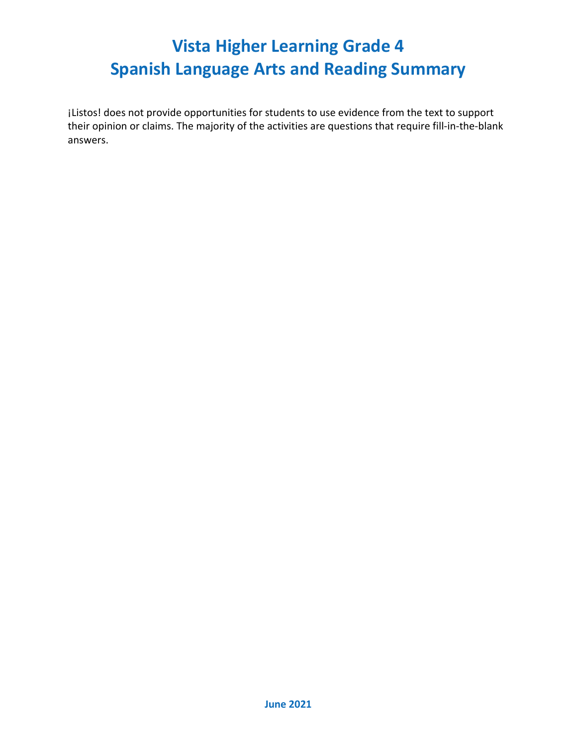¡Listos! does not provide opportunities for students to use evidence from the text to support their opinion or claims. The majority of the activities are questions that require fill-in-the-blank answers.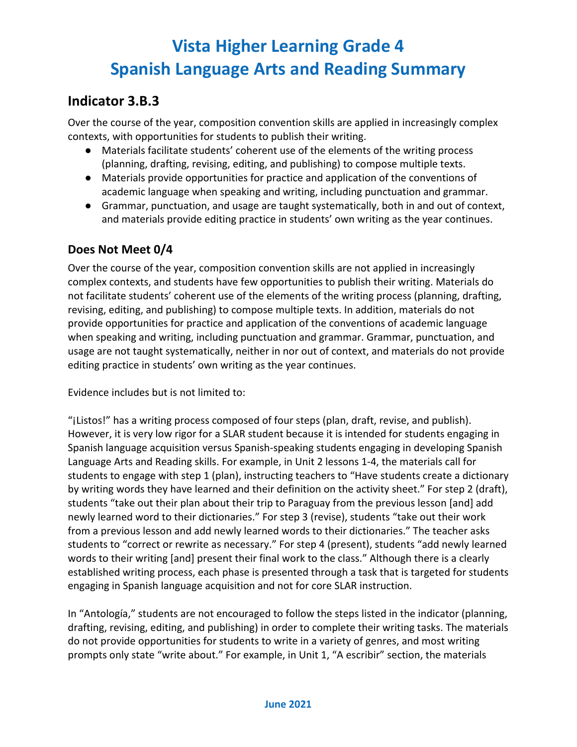### **Indicator 3.B.3**

Over the course of the year, composition convention skills are applied in increasingly complex contexts, with opportunities for students to publish their writing.

- Materials facilitate students' coherent use of the elements of the writing process (planning, drafting, revising, editing, and publishing) to compose multiple texts.
- Materials provide opportunities for practice and application of the conventions of academic language when speaking and writing, including punctuation and grammar.
- Grammar, punctuation, and usage are taught systematically, both in and out of context, and materials provide editing practice in students' own writing as the year continues.

#### **Does Not Meet 0/4**

Over the course of the year, composition convention skills are not applied in increasingly complex contexts, and students have few opportunities to publish their writing. Materials do not facilitate students' coherent use of the elements of the writing process (planning, drafting, revising, editing, and publishing) to compose multiple texts. In addition, materials do not provide opportunities for practice and application of the conventions of academic language when speaking and writing, including punctuation and grammar. Grammar, punctuation, and usage are not taught systematically, neither in nor out of context, and materials do not provide editing practice in students' own writing as the year continues.

Evidence includes but is not limited to:

"¡Listos!" has a writing process composed of four steps (plan, draft, revise, and publish). However, it is very low rigor for a SLAR student because it is intended for students engaging in Spanish language acquisition versus Spanish-speaking students engaging in developing Spanish Language Arts and Reading skills. For example, in Unit 2 lessons 1-4, the materials call for students to engage with step 1 (plan), instructing teachers to "Have students create a dictionary by writing words they have learned and their definition on the activity sheet." For step 2 (draft), students "take out their plan about their trip to Paraguay from the previous lesson [and] add newly learned word to their dictionaries." For step 3 (revise), students "take out their work from a previous lesson and add newly learned words to their dictionaries." The teacher asks students to "correct or rewrite as necessary." For step 4 (present), students "add newly learned words to their writing [and] present their final work to the class." Although there is a clearly established writing process, each phase is presented through a task that is targeted for students engaging in Spanish language acquisition and not for core SLAR instruction.

In "Antología," students are not encouraged to follow the steps listed in the indicator (planning, drafting, revising, editing, and publishing) in order to complete their writing tasks. The materials do not provide opportunities for students to write in a variety of genres, and most writing prompts only state "write about." For example, in Unit 1, "A escribir" section, the materials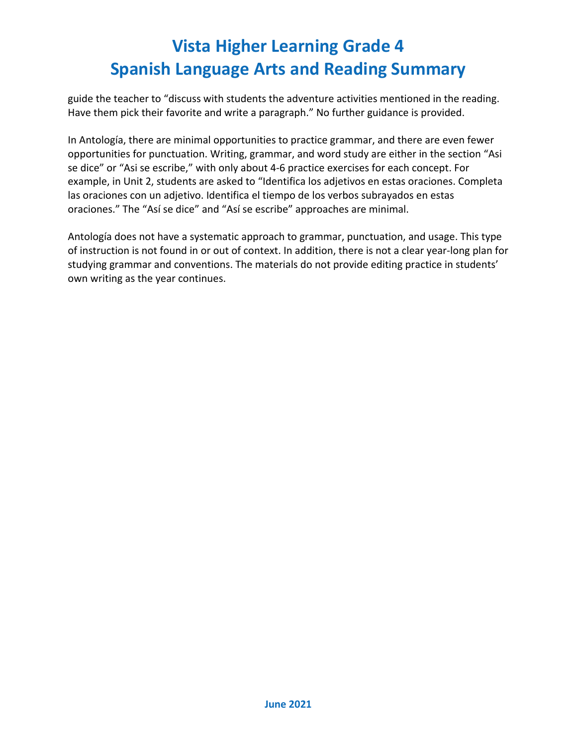guide the teacher to "discuss with students the adventure activities mentioned in the reading. Have them pick their favorite and write a paragraph." No further guidance is provided.

In Antología, there are minimal opportunities to practice grammar, and there are even fewer opportunities for punctuation. Writing, grammar, and word study are either in the section "Asi se dice" or "Asi se escribe," with only about 4-6 practice exercises for each concept. For example, in Unit 2, students are asked to "Identifica los adjetivos en estas oraciones. Completa las oraciones con un adjetivo. Identifica el tiempo de los verbos subrayados en estas oraciones." The "Así se dice" and "Así se escribe" approaches are minimal.

Antología does not have a systematic approach to grammar, punctuation, and usage. This type of instruction is not found in or out of context. In addition, there is not a clear year-long plan for studying grammar and conventions. The materials do not provide editing practice in students' own writing as the year continues.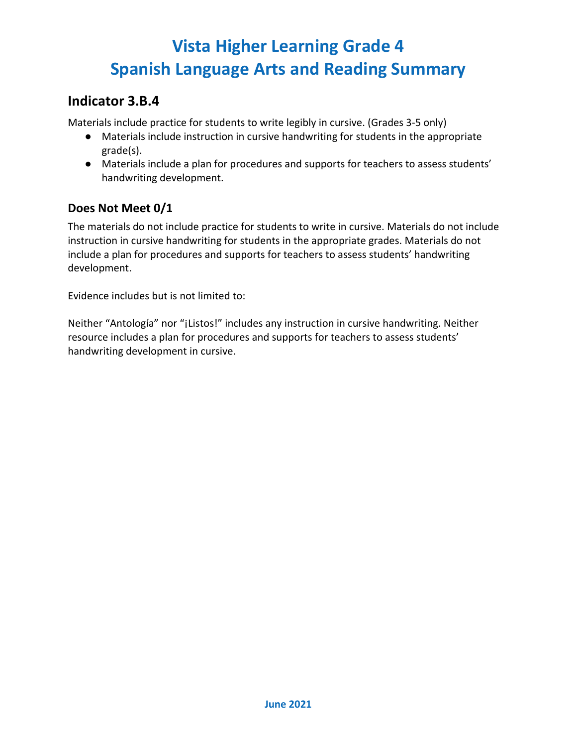### **Indicator 3.B.4**

Materials include practice for students to write legibly in cursive. (Grades 3-5 only)

- Materials include instruction in cursive handwriting for students in the appropriate grade(s).
- Materials include a plan for procedures and supports for teachers to assess students' handwriting development.

#### **Does Not Meet 0/1**

The materials do not include practice for students to write in cursive. Materials do not include instruction in cursive handwriting for students in the appropriate grades. Materials do not include a plan for procedures and supports for teachers to assess students' handwriting development.

Evidence includes but is not limited to:

Neither "Antología" nor "¡Listos!" includes any instruction in cursive handwriting. Neither resource includes a plan for procedures and supports for teachers to assess students' handwriting development in cursive.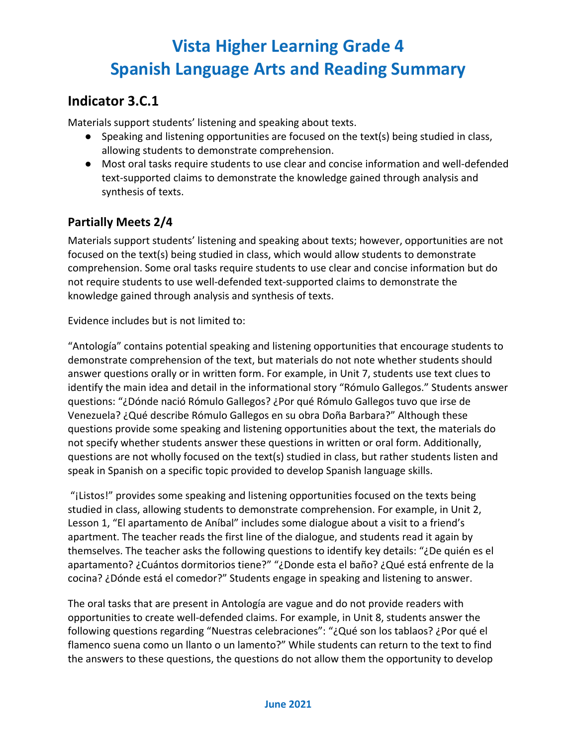## **Indicator 3.C.1**

Materials support students' listening and speaking about texts.

- Speaking and listening opportunities are focused on the text(s) being studied in class, allowing students to demonstrate comprehension.
- Most oral tasks require students to use clear and concise information and well-defended text-supported claims to demonstrate the knowledge gained through analysis and synthesis of texts.

### **Partially Meets 2/4**

Materials support students' listening and speaking about texts; however, opportunities are not focused on the text(s) being studied in class, which would allow students to demonstrate comprehension. Some oral tasks require students to use clear and concise information but do not require students to use well-defended text-supported claims to demonstrate the knowledge gained through analysis and synthesis of texts.

Evidence includes but is not limited to:

"Antología" contains potential speaking and listening opportunities that encourage students to demonstrate comprehension of the text, but materials do not note whether students should answer questions orally or in written form. For example, in Unit 7, students use text clues to identify the main idea and detail in the informational story "Rómulo Gallegos." Students answer questions: "¿Dónde nació Rómulo Gallegos? ¿Por qué Rómulo Gallegos tuvo que irse de Venezuela? ¿Qué describe Rómulo Gallegos en su obra Doña Barbara?" Although these questions provide some speaking and listening opportunities about the text, the materials do not specify whether students answer these questions in written or oral form. Additionally, questions are not wholly focused on the text(s) studied in class, but rather students listen and speak in Spanish on a specific topic provided to develop Spanish language skills.

"¡Listos!" provides some speaking and listening opportunities focused on the texts being studied in class, allowing students to demonstrate comprehension. For example, in Unit 2, Lesson 1, "El apartamento de Aníbal" includes some dialogue about a visit to a friend's apartment. The teacher reads the first line of the dialogue, and students read it again by themselves. The teacher asks the following questions to identify key details: "¿De quién es el apartamento? ¿Cuántos dormitorios tiene?" "¿Donde esta el baño? ¿Qué está enfrente de la cocina? ¿Dónde está el comedor?" Students engage in speaking and listening to answer.

The oral tasks that are present in Antología are vague and do not provide readers with opportunities to create well-defended claims. For example, in Unit 8, students answer the following questions regarding "Nuestras celebraciones": "¿Qué son los tablaos? ¿Por qué el flamenco suena como un llanto o un lamento?" While students can return to the text to find the answers to these questions, the questions do not allow them the opportunity to develop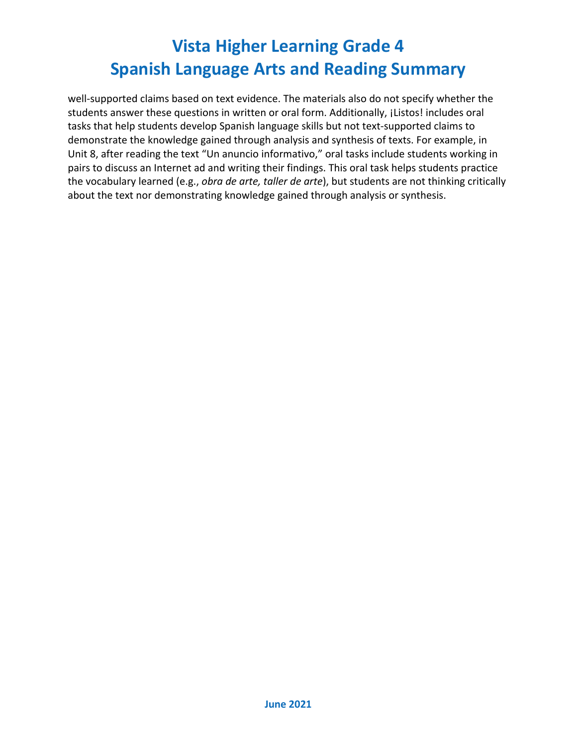well-supported claims based on text evidence. The materials also do not specify whether the students answer these questions in written or oral form. Additionally, ¡Listos! includes oral tasks that help students develop Spanish language skills but not text-supported claims to demonstrate the knowledge gained through analysis and synthesis of texts. For example, in Unit 8, after reading the text "Un anuncio informativo," oral tasks include students working in pairs to discuss an Internet ad and writing their findings. This oral task helps students practice the vocabulary learned (e.g., *obra de arte, taller de arte*), but students are not thinking critically about the text nor demonstrating knowledge gained through analysis or synthesis.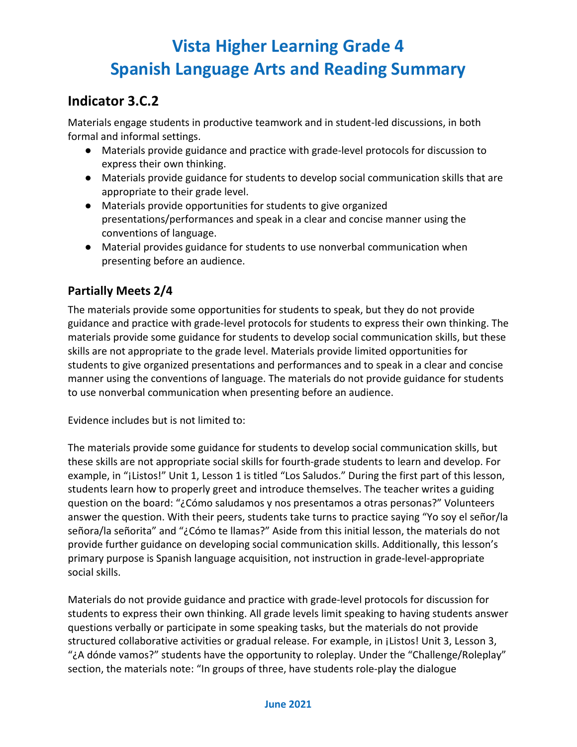## **Indicator 3.C.2**

Materials engage students in productive teamwork and in student-led discussions, in both formal and informal settings.

- Materials provide guidance and practice with grade-level protocols for discussion to express their own thinking.
- Materials provide guidance for students to develop social communication skills that are appropriate to their grade level.
- Materials provide opportunities for students to give organized presentations/performances and speak in a clear and concise manner using the conventions of language.
- Material provides guidance for students to use nonverbal communication when presenting before an audience.

### **Partially Meets 2/4**

The materials provide some opportunities for students to speak, but they do not provide guidance and practice with grade-level protocols for students to express their own thinking. The materials provide some guidance for students to develop social communication skills, but these skills are not appropriate to the grade level. Materials provide limited opportunities for students to give organized presentations and performances and to speak in a clear and concise manner using the conventions of language. The materials do not provide guidance for students to use nonverbal communication when presenting before an audience.

Evidence includes but is not limited to:

The materials provide some guidance for students to develop social communication skills, but these skills are not appropriate social skills for fourth-grade students to learn and develop. For example, in "¡Listos!" Unit 1, Lesson 1 is titled "Los Saludos." During the first part of this lesson, students learn how to properly greet and introduce themselves. The teacher writes a guiding question on the board: "¿Cómo saludamos y nos presentamos a otras personas?" Volunteers answer the question. With their peers, students take turns to practice saying "Yo soy el señor/la señora/la señorita" and "¿Cómo te llamas?" Aside from this initial lesson, the materials do not provide further guidance on developing social communication skills. Additionally, this lesson's primary purpose is Spanish language acquisition, not instruction in grade-level-appropriate social skills.

Materials do not provide guidance and practice with grade-level protocols for discussion for students to express their own thinking. All grade levels limit speaking to having students answer questions verbally or participate in some speaking tasks, but the materials do not provide structured collaborative activities or gradual release. For example, in ¡Listos! Unit 3, Lesson 3, "¿A dónde vamos?" students have the opportunity to roleplay. Under the "Challenge/Roleplay" section, the materials note: "In groups of three, have students role-play the dialogue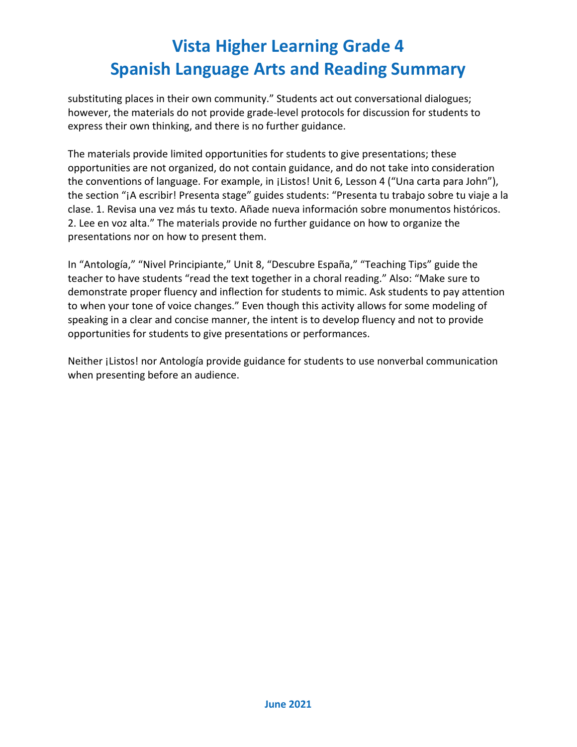substituting places in their own community." Students act out conversational dialogues; however, the materials do not provide grade-level protocols for discussion for students to express their own thinking, and there is no further guidance.

The materials provide limited opportunities for students to give presentations; these opportunities are not organized, do not contain guidance, and do not take into consideration the conventions of language. For example, in ¡Listos! Unit 6, Lesson 4 ("Una carta para John"), the section "¡A escribir! Presenta stage" guides students: "Presenta tu trabajo sobre tu viaje a la clase. 1. Revisa una vez más tu texto. Añade nueva información sobre monumentos históricos. 2. Lee en voz alta." The materials provide no further guidance on how to organize the presentations nor on how to present them.

In "Antología," "Nivel Principiante," Unit 8, "Descubre España," "Teaching Tips" guide the teacher to have students "read the text together in a choral reading." Also: "Make sure to demonstrate proper fluency and inflection for students to mimic. Ask students to pay attention to when your tone of voice changes." Even though this activity allows for some modeling of speaking in a clear and concise manner, the intent is to develop fluency and not to provide opportunities for students to give presentations or performances.

Neither ¡Listos! nor Antología provide guidance for students to use nonverbal communication when presenting before an audience.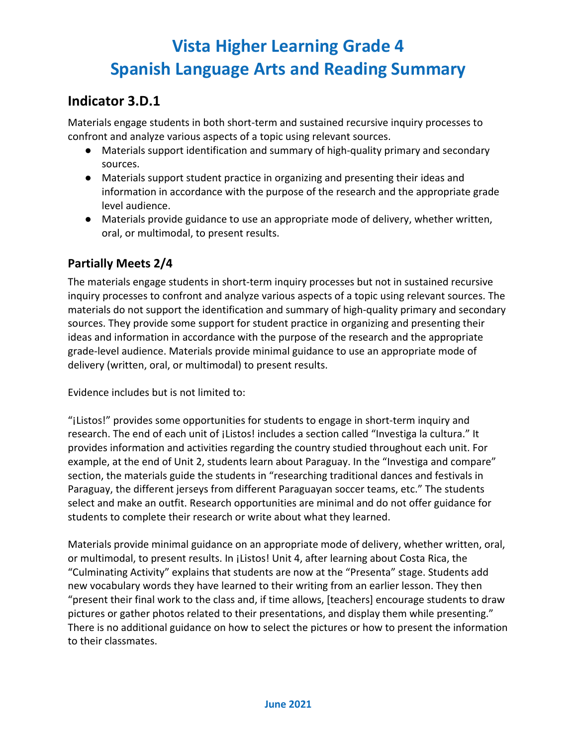### **Indicator 3.D.1**

Materials engage students in both short-term and sustained recursive inquiry processes to confront and analyze various aspects of a topic using relevant sources.

- Materials support identification and summary of high-quality primary and secondary sources.
- Materials support student practice in organizing and presenting their ideas and information in accordance with the purpose of the research and the appropriate grade level audience.
- Materials provide guidance to use an appropriate mode of delivery, whether written, oral, or multimodal, to present results.

#### **Partially Meets 2/4**

The materials engage students in short-term inquiry processes but not in sustained recursive inquiry processes to confront and analyze various aspects of a topic using relevant sources. The materials do not support the identification and summary of high-quality primary and secondary sources. They provide some support for student practice in organizing and presenting their ideas and information in accordance with the purpose of the research and the appropriate grade-level audience. Materials provide minimal guidance to use an appropriate mode of delivery (written, oral, or multimodal) to present results.

Evidence includes but is not limited to:

"¡Listos!" provides some opportunities for students to engage in short-term inquiry and research. The end of each unit of ¡Listos! includes a section called "Investiga la cultura." It provides information and activities regarding the country studied throughout each unit. For example, at the end of Unit 2, students learn about Paraguay. In the "Investiga and compare" section, the materials guide the students in "researching traditional dances and festivals in Paraguay, the different jerseys from different Paraguayan soccer teams, etc." The students select and make an outfit. Research opportunities are minimal and do not offer guidance for students to complete their research or write about what they learned.

Materials provide minimal guidance on an appropriate mode of delivery, whether written, oral, or multimodal, to present results. In ¡Listos! Unit 4, after learning about Costa Rica, the "Culminating Activity" explains that students are now at the "Presenta" stage. Students add new vocabulary words they have learned to their writing from an earlier lesson. They then "present their final work to the class and, if time allows, [teachers] encourage students to draw pictures or gather photos related to their presentations, and display them while presenting." There is no additional guidance on how to select the pictures or how to present the information to their classmates.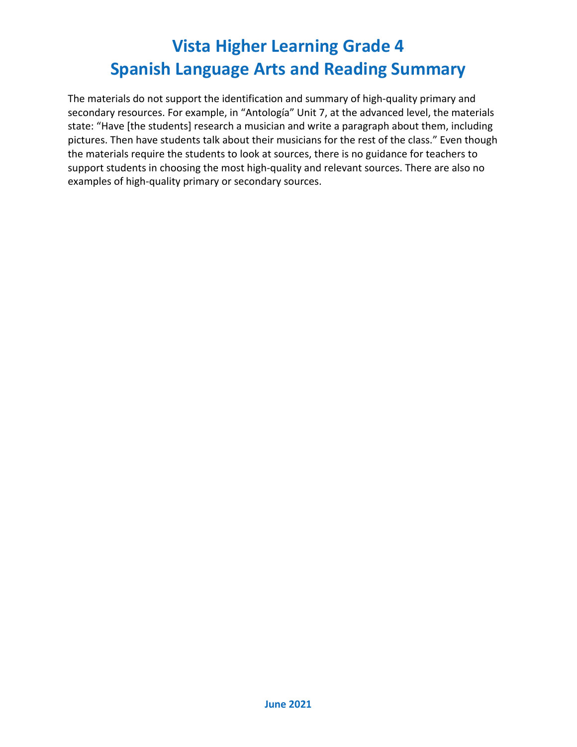The materials do not support the identification and summary of high-quality primary and secondary resources. For example, in "Antología" Unit 7, at the advanced level, the materials state: "Have [the students] research a musician and write a paragraph about them, including pictures. Then have students talk about their musicians for the rest of the class." Even though the materials require the students to look at sources, there is no guidance for teachers to support students in choosing the most high-quality and relevant sources. There are also no examples of high-quality primary or secondary sources.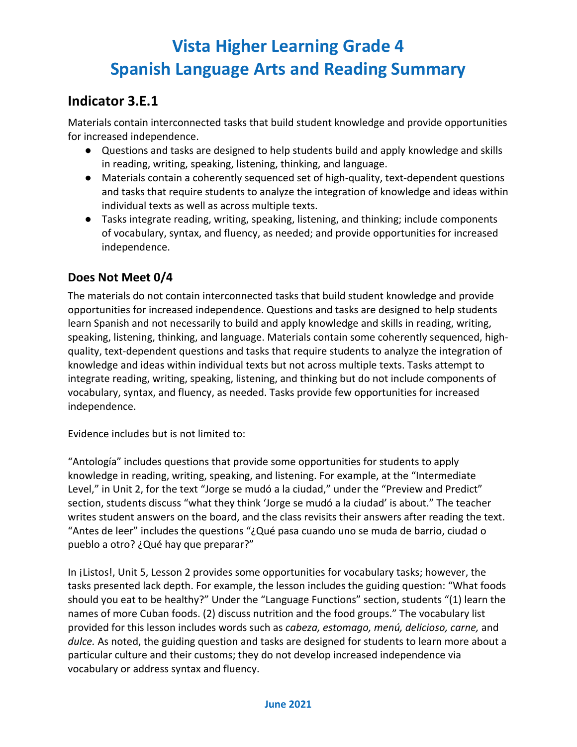## **Indicator 3.E.1**

Materials contain interconnected tasks that build student knowledge and provide opportunities for increased independence.

- Questions and tasks are designed to help students build and apply knowledge and skills in reading, writing, speaking, listening, thinking, and language.
- Materials contain a coherently sequenced set of high-quality, text-dependent questions and tasks that require students to analyze the integration of knowledge and ideas within individual texts as well as across multiple texts.
- Tasks integrate reading, writing, speaking, listening, and thinking; include components of vocabulary, syntax, and fluency, as needed; and provide opportunities for increased independence.

### **Does Not Meet 0/4**

The materials do not contain interconnected tasks that build student knowledge and provide opportunities for increased independence. Questions and tasks are designed to help students learn Spanish and not necessarily to build and apply knowledge and skills in reading, writing, speaking, listening, thinking, and language. Materials contain some coherently sequenced, highquality, text-dependent questions and tasks that require students to analyze the integration of knowledge and ideas within individual texts but not across multiple texts. Tasks attempt to integrate reading, writing, speaking, listening, and thinking but do not include components of vocabulary, syntax, and fluency, as needed. Tasks provide few opportunities for increased independence.

Evidence includes but is not limited to:

"Antología" includes questions that provide some opportunities for students to apply knowledge in reading, writing, speaking, and listening. For example, at the "Intermediate Level," in Unit 2, for the text "Jorge se mudó a la ciudad," under the "Preview and Predict" section, students discuss "what they think 'Jorge se mudó a la ciudad' is about." The teacher writes student answers on the board, and the class revisits their answers after reading the text. "Antes de leer" includes the questions "¿Qué pasa cuando uno se muda de barrio, ciudad o pueblo a otro? ¿Qué hay que preparar?"

In *j*Listos!, Unit 5, Lesson 2 provides some opportunities for vocabulary tasks; however, the tasks presented lack depth. For example, the lesson includes the guiding question: "What foods should you eat to be healthy?" Under the "Language Functions" section, students "(1) learn the names of more Cuban foods. (2) discuss nutrition and the food groups." The vocabulary list provided for this lesson includes words such as *cabeza, estomago, menú, delicioso, carne,* and *dulce.* As noted, the guiding question and tasks are designed for students to learn more about a particular culture and their customs; they do not develop increased independence via vocabulary or address syntax and fluency.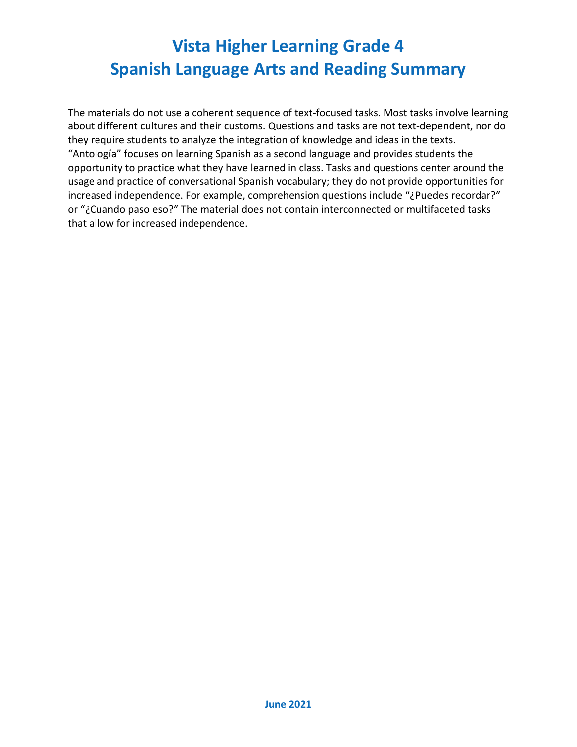The materials do not use a coherent sequence of text-focused tasks. Most tasks involve learning about different cultures and their customs. Questions and tasks are not text-dependent, nor do they require students to analyze the integration of knowledge and ideas in the texts. "Antología" focuses on learning Spanish as a second language and provides students the opportunity to practice what they have learned in class. Tasks and questions center around the usage and practice of conversational Spanish vocabulary; they do not provide opportunities for increased independence. For example, comprehension questions include "¿Puedes recordar?" or "¿Cuando paso eso?" The material does not contain interconnected or multifaceted tasks that allow for increased independence.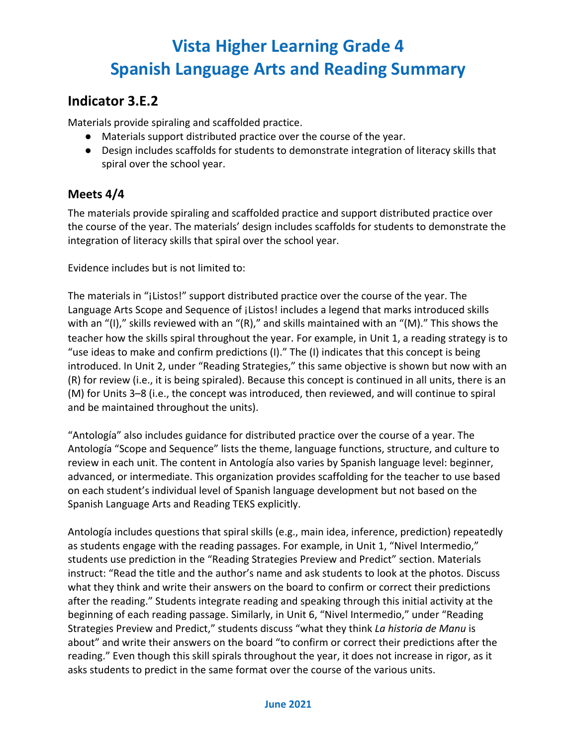## **Indicator 3.E.2**

Materials provide spiraling and scaffolded practice.

- Materials support distributed practice over the course of the year.
- Design includes scaffolds for students to demonstrate integration of literacy skills that spiral over the school year.

#### **Meets 4/4**

The materials provide spiraling and scaffolded practice and support distributed practice over the course of the year. The materials' design includes scaffolds for students to demonstrate the integration of literacy skills that spiral over the school year.

Evidence includes but is not limited to:

The materials in "¡Listos!" support distributed practice over the course of the year. The Language Arts Scope and Sequence of *i*Listos! includes a legend that marks introduced skills with an "(I)," skills reviewed with an "(R)," and skills maintained with an "(M)." This shows the teacher how the skills spiral throughout the year. For example, in Unit 1, a reading strategy is to "use ideas to make and confirm predictions (I)." The (I) indicates that this concept is being introduced. In Unit 2, under "Reading Strategies," this same objective is shown but now with an (R) for review (i.e., it is being spiraled). Because this concept is continued in all units, there is an (M) for Units 3–8 (i.e., the concept was introduced, then reviewed, and will continue to spiral and be maintained throughout the units).

"Antología" also includes guidance for distributed practice over the course of a year. The Antología "Scope and Sequence" lists the theme, language functions, structure, and culture to review in each unit. The content in Antología also varies by Spanish language level: beginner, advanced, or intermediate. This organization provides scaffolding for the teacher to use based on each student's individual level of Spanish language development but not based on the Spanish Language Arts and Reading TEKS explicitly.

Antología includes questions that spiral skills (e.g., main idea, inference, prediction) repeatedly as students engage with the reading passages. For example, in Unit 1, "Nivel Intermedio," students use prediction in the "Reading Strategies Preview and Predict" section. Materials instruct: "Read the title and the author's name and ask students to look at the photos. Discuss what they think and write their answers on the board to confirm or correct their predictions after the reading." Students integrate reading and speaking through this initial activity at the beginning of each reading passage. Similarly, in Unit 6, "Nivel Intermedio," under "Reading Strategies Preview and Predict," students discuss "what they think *La historia de Manu* is about" and write their answers on the board "to confirm or correct their predictions after the reading." Even though this skill spirals throughout the year, it does not increase in rigor, as it asks students to predict in the same format over the course of the various units.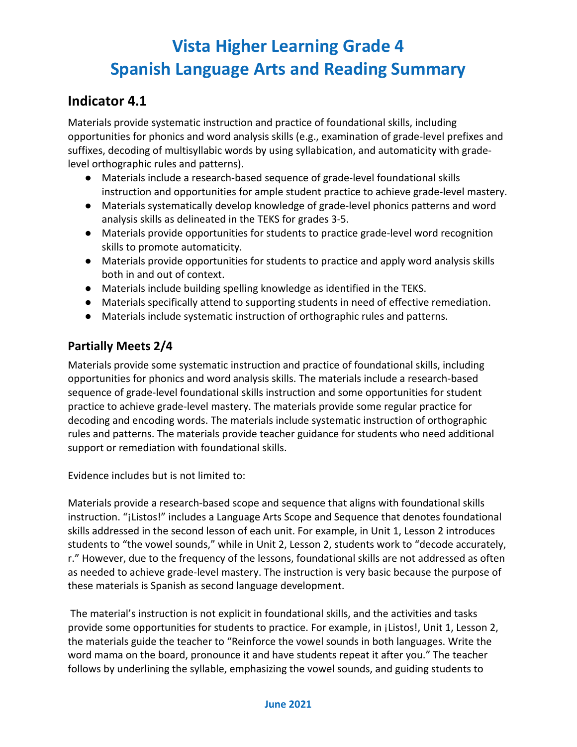### **Indicator 4.1**

Materials provide systematic instruction and practice of foundational skills, including opportunities for phonics and word analysis skills (e.g., examination of grade-level prefixes and suffixes, decoding of multisyllabic words by using syllabication, and automaticity with gradelevel orthographic rules and patterns).

- Materials include a research-based sequence of grade-level foundational skills instruction and opportunities for ample student practice to achieve grade-level mastery.
- Materials systematically develop knowledge of grade-level phonics patterns and word analysis skills as delineated in the TEKS for grades 3-5.
- Materials provide opportunities for students to practice grade-level word recognition skills to promote automaticity.
- Materials provide opportunities for students to practice and apply word analysis skills both in and out of context.
- Materials include building spelling knowledge as identified in the TEKS.
- Materials specifically attend to supporting students in need of effective remediation.
- Materials include systematic instruction of orthographic rules and patterns.

### **Partially Meets 2/4**

Materials provide some systematic instruction and practice of foundational skills, including opportunities for phonics and word analysis skills. The materials include a research-based sequence of grade-level foundational skills instruction and some opportunities for student practice to achieve grade-level mastery. The materials provide some regular practice for decoding and encoding words. The materials include systematic instruction of orthographic rules and patterns. The materials provide teacher guidance for students who need additional support or remediation with foundational skills.

Evidence includes but is not limited to:

Materials provide a research-based scope and sequence that aligns with foundational skills instruction. "¡Listos!" includes a Language Arts Scope and Sequence that denotes foundational skills addressed in the second lesson of each unit. For example, in Unit 1, Lesson 2 introduces students to "the vowel sounds," while in Unit 2, Lesson 2, students work to "decode accurately, r." However, due to the frequency of the lessons, foundational skills are not addressed as often as needed to achieve grade-level mastery. The instruction is very basic because the purpose of these materials is Spanish as second language development.

The material's instruction is not explicit in foundational skills, and the activities and tasks provide some opportunities for students to practice. For example, in ¡Listos!, Unit 1, Lesson 2, the materials guide the teacher to "Reinforce the vowel sounds in both languages. Write the word mama on the board, pronounce it and have students repeat it after you." The teacher follows by underlining the syllable, emphasizing the vowel sounds, and guiding students to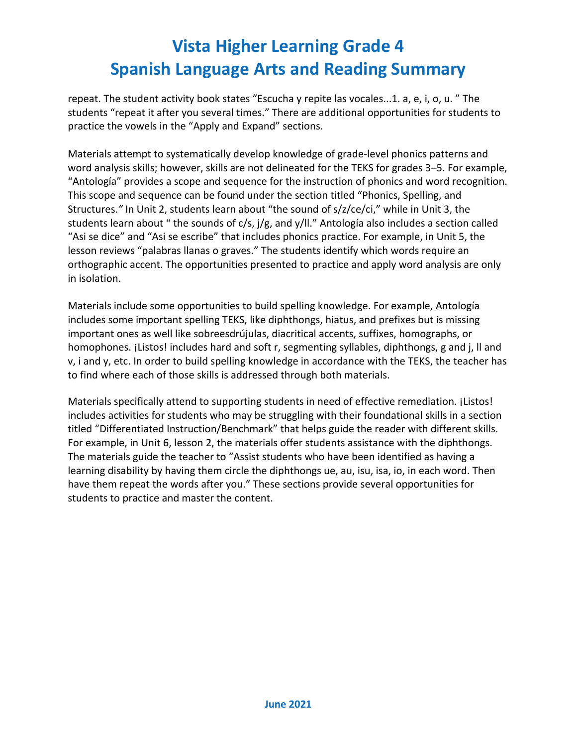repeat. The student activity book states "Escucha y repite las vocales...1. a, e, i, o, u. " The students "repeat it after you several times." There are additional opportunities for students to practice the vowels in the "Apply and Expand" sections.

Materials attempt to systematically develop knowledge of grade-level phonics patterns and word analysis skills; however, skills are not delineated for the TEKS for grades 3–5. For example, "Antología" provides a scope and sequence for the instruction of phonics and word recognition. This scope and sequence can be found under the section titled "Phonics, Spelling, and Structures.*"* In Unit 2, students learn about "the sound of s/z/ce/ci," while in Unit 3, the students learn about " the sounds of c/s, j/g, and y/ll." Antología also includes a section called "Asi se dice" and "Asi se escribe" that includes phonics practice. For example, in Unit 5, the lesson reviews "palabras llanas o graves." The students identify which words require an orthographic accent. The opportunities presented to practice and apply word analysis are only in isolation.

Materials include some opportunities to build spelling knowledge. For example, Antología includes some important spelling TEKS, like diphthongs, hiatus, and prefixes but is missing important ones as well like sobreesdrújulas, diacritical accents, suffixes, homographs, or homophones. ¡Listos! includes hard and soft r, segmenting syllables, diphthongs, g and j, ll and v, i and y, etc. In order to build spelling knowledge in accordance with the TEKS, the teacher has to find where each of those skills is addressed through both materials.

Materials specifically attend to supporting students in need of effective remediation. [Listos! includes activities for students who may be struggling with their foundational skills in a section titled "Differentiated Instruction/Benchmark" that helps guide the reader with different skills. For example, in Unit 6, lesson 2, the materials offer students assistance with the diphthongs. The materials guide the teacher to "Assist students who have been identified as having a learning disability by having them circle the diphthongs ue, au, isu, isa, io, in each word. Then have them repeat the words after you." These sections provide several opportunities for students to practice and master the content.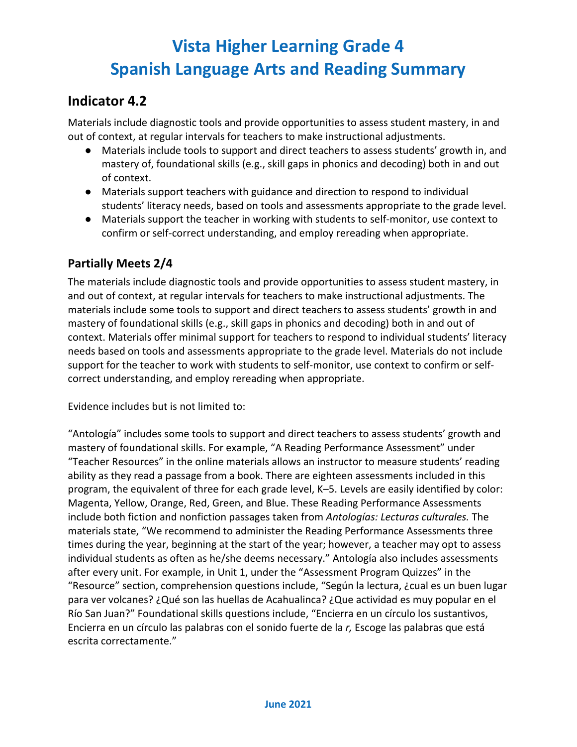### **Indicator 4.2**

Materials include diagnostic tools and provide opportunities to assess student mastery, in and out of context, at regular intervals for teachers to make instructional adjustments.

- Materials include tools to support and direct teachers to assess students' growth in, and mastery of, foundational skills (e.g., skill gaps in phonics and decoding) both in and out of context.
- Materials support teachers with guidance and direction to respond to individual students' literacy needs, based on tools and assessments appropriate to the grade level.
- Materials support the teacher in working with students to self-monitor, use context to confirm or self-correct understanding, and employ rereading when appropriate.

#### **Partially Meets 2/4**

The materials include diagnostic tools and provide opportunities to assess student mastery, in and out of context, at regular intervals for teachers to make instructional adjustments. The materials include some tools to support and direct teachers to assess students' growth in and mastery of foundational skills (e.g., skill gaps in phonics and decoding) both in and out of context. Materials offer minimal support for teachers to respond to individual students' literacy needs based on tools and assessments appropriate to the grade level. Materials do not include support for the teacher to work with students to self-monitor, use context to confirm or selfcorrect understanding, and employ rereading when appropriate.

Evidence includes but is not limited to:

"Antología" includes some tools to support and direct teachers to assess students' growth and mastery of foundational skills. For example, "A Reading Performance Assessment" under "Teacher Resources" in the online materials allows an instructor to measure students' reading ability as they read a passage from a book. There are eighteen assessments included in this program, the equivalent of three for each grade level, K–5. Levels are easily identified by color: Magenta, Yellow, Orange, Red, Green, and Blue. These Reading Performance Assessments include both fiction and nonfiction passages taken from *Antologías: Lecturas culturales.* The materials state, "We recommend to administer the Reading Performance Assessments three times during the year, beginning at the start of the year; however, a teacher may opt to assess individual students as often as he/she deems necessary." Antología also includes assessments after every unit. For example, in Unit 1, under the "Assessment Program Quizzes" in the "Resource" section, comprehension questions include, "Según la lectura, ¿cual es un buen lugar para ver volcanes? ¿Qué son las huellas de Acahualinca? ¿Que actividad es muy popular en el Río San Juan?" Foundational skills questions include, "Encierra en un círculo los sustantivos, Encierra en un círculo las palabras con el sonido fuerte de la *r,* Escoge las palabras que está escrita correctamente."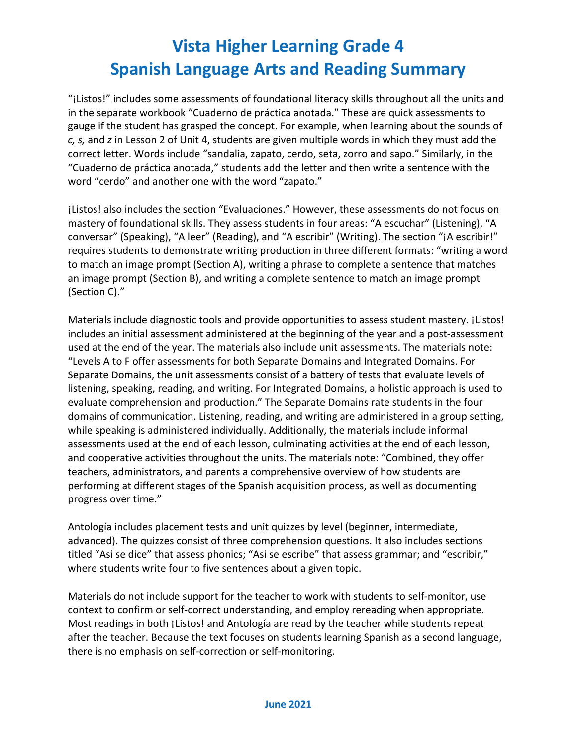"¡Listos!" includes some assessments of foundational literacy skills throughout all the units and in the separate workbook "Cuaderno de práctica anotada." These are quick assessments to gauge if the student has grasped the concept. For example, when learning about the sounds of *c, s,* and *z* in Lesson 2 of Unit 4, students are given multiple words in which they must add the correct letter. Words include "sandalia, zapato, cerdo, seta, zorro and sapo." Similarly, in the "Cuaderno de práctica anotada," students add the letter and then write a sentence with the word "cerdo" and another one with the word "zapato."

¡Listos! also includes the section "Evaluaciones." However, these assessments do not focus on mastery of foundational skills. They assess students in four areas: "A escuchar" (Listening), "A conversar" (Speaking), "A leer" (Reading), and "A escribir" (Writing). The section "¡A escribir!" requires students to demonstrate writing production in three different formats: "writing a word to match an image prompt (Section A), writing a phrase to complete a sentence that matches an image prompt (Section B), and writing a complete sentence to match an image prompt (Section C)."

Materials include diagnostic tools and provide opportunities to assess student mastery. [Listos!] includes an initial assessment administered at the beginning of the year and a post-assessment used at the end of the year. The materials also include unit assessments. The materials note: "Levels A to F offer assessments for both Separate Domains and Integrated Domains. For Separate Domains, the unit assessments consist of a battery of tests that evaluate levels of listening, speaking, reading, and writing. For Integrated Domains, a holistic approach is used to evaluate comprehension and production." The Separate Domains rate students in the four domains of communication. Listening, reading, and writing are administered in a group setting, while speaking is administered individually. Additionally, the materials include informal assessments used at the end of each lesson, culminating activities at the end of each lesson, and cooperative activities throughout the units. The materials note: "Combined, they offer teachers, administrators, and parents a comprehensive overview of how students are performing at different stages of the Spanish acquisition process, as well as documenting progress over time."

Antología includes placement tests and unit quizzes by level (beginner, intermediate, advanced). The quizzes consist of three comprehension questions. It also includes sections titled "Asi se dice" that assess phonics; "Asi se escribe" that assess grammar; and "escribir," where students write four to five sentences about a given topic.

Materials do not include support for the teacher to work with students to self-monitor, use context to confirm or self-correct understanding, and employ rereading when appropriate. Most readings in both ¡Listos! and Antología are read by the teacher while students repeat after the teacher. Because the text focuses on students learning Spanish as a second language, there is no emphasis on self-correction or self-monitoring.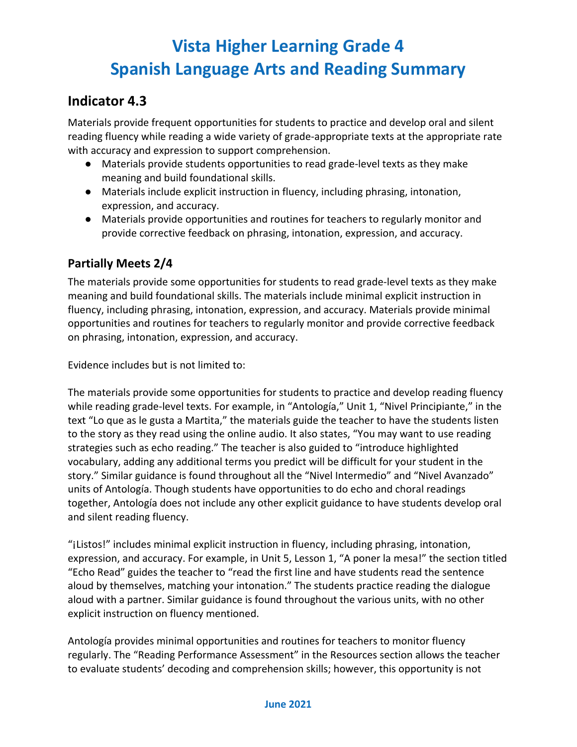## **Indicator 4.3**

Materials provide frequent opportunities for students to practice and develop oral and silent reading fluency while reading a wide variety of grade-appropriate texts at the appropriate rate with accuracy and expression to support comprehension.

- Materials provide students opportunities to read grade-level texts as they make meaning and build foundational skills.
- Materials include explicit instruction in fluency, including phrasing, intonation, expression, and accuracy.
- Materials provide opportunities and routines for teachers to regularly monitor and provide corrective feedback on phrasing, intonation, expression, and accuracy.

### **Partially Meets 2/4**

The materials provide some opportunities for students to read grade-level texts as they make meaning and build foundational skills. The materials include minimal explicit instruction in fluency, including phrasing, intonation, expression, and accuracy. Materials provide minimal opportunities and routines for teachers to regularly monitor and provide corrective feedback on phrasing, intonation, expression, and accuracy.

Evidence includes but is not limited to:

The materials provide some opportunities for students to practice and develop reading fluency while reading grade-level texts. For example, in "Antología," Unit 1, "Nivel Principiante," in the text "Lo que as le gusta a Martita," the materials guide the teacher to have the students listen to the story as they read using the online audio. It also states, "You may want to use reading strategies such as echo reading." The teacher is also guided to "introduce highlighted vocabulary, adding any additional terms you predict will be difficult for your student in the story." Similar guidance is found throughout all the "Nivel Intermedio" and "Nivel Avanzado" units of Antología. Though students have opportunities to do echo and choral readings together, Antología does not include any other explicit guidance to have students develop oral and silent reading fluency.

"¡Listos!" includes minimal explicit instruction in fluency, including phrasing, intonation, expression, and accuracy. For example, in Unit 5, Lesson 1, "A poner la mesa!" the section titled "Echo Read" guides the teacher to "read the first line and have students read the sentence aloud by themselves, matching your intonation." The students practice reading the dialogue aloud with a partner. Similar guidance is found throughout the various units, with no other explicit instruction on fluency mentioned.

Antología provides minimal opportunities and routines for teachers to monitor fluency regularly. The "Reading Performance Assessment" in the Resources section allows the teacher to evaluate students' decoding and comprehension skills; however, this opportunity is not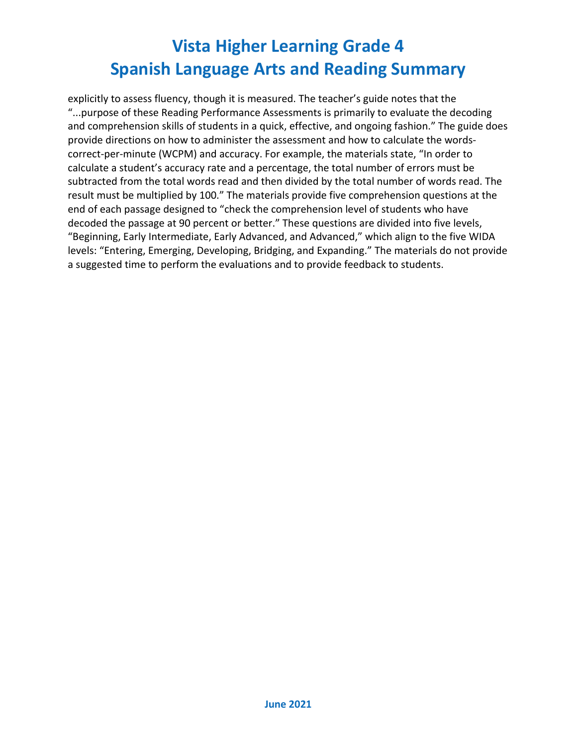explicitly to assess fluency, though it is measured. The teacher's guide notes that the "...purpose of these Reading Performance Assessments is primarily to evaluate the decoding and comprehension skills of students in a quick, effective, and ongoing fashion." The guide does provide directions on how to administer the assessment and how to calculate the wordscorrect-per-minute (WCPM) and accuracy. For example, the materials state, "In order to calculate a student's accuracy rate and a percentage, the total number of errors must be subtracted from the total words read and then divided by the total number of words read. The result must be multiplied by 100." The materials provide five comprehension questions at the end of each passage designed to "check the comprehension level of students who have decoded the passage at 90 percent or better." These questions are divided into five levels, "Beginning, Early Intermediate, Early Advanced, and Advanced," which align to the five WIDA levels: "Entering, Emerging, Developing, Bridging, and Expanding." The materials do not provide a suggested time to perform the evaluations and to provide feedback to students.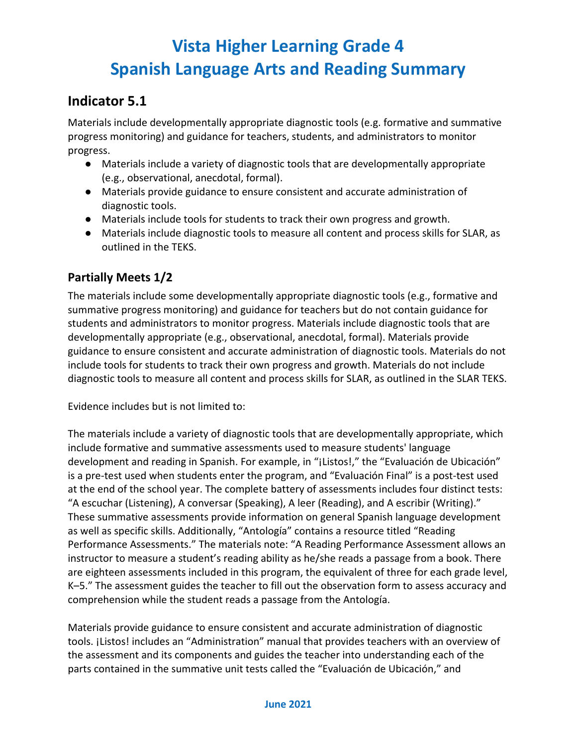### **Indicator 5.1**

Materials include developmentally appropriate diagnostic tools (e.g. formative and summative progress monitoring) and guidance for teachers, students, and administrators to monitor progress.

- Materials include a variety of diagnostic tools that are developmentally appropriate (e.g., observational, anecdotal, formal).
- Materials provide guidance to ensure consistent and accurate administration of diagnostic tools.
- Materials include tools for students to track their own progress and growth.
- Materials include diagnostic tools to measure all content and process skills for SLAR, as outlined in the TEKS.

#### **Partially Meets 1/2**

The materials include some developmentally appropriate diagnostic tools (e.g., formative and summative progress monitoring) and guidance for teachers but do not contain guidance for students and administrators to monitor progress. Materials include diagnostic tools that are developmentally appropriate (e.g., observational, anecdotal, formal). Materials provide guidance to ensure consistent and accurate administration of diagnostic tools. Materials do not include tools for students to track their own progress and growth. Materials do not include diagnostic tools to measure all content and process skills for SLAR, as outlined in the SLAR TEKS.

Evidence includes but is not limited to:

The materials include a variety of diagnostic tools that are developmentally appropriate, which include formative and summative assessments used to measure students' language development and reading in Spanish. For example, in "¡Listos!," the "Evaluación de Ubicación" is a pre-test used when students enter the program, and "Evaluación Final" is a post-test used at the end of the school year. The complete battery of assessments includes four distinct tests: "A escuchar (Listening), A conversar (Speaking), A leer (Reading), and A escribir (Writing)." These summative assessments provide information on general Spanish language development as well as specific skills. Additionally, "Antología" contains a resource titled "Reading Performance Assessments." The materials note: "A Reading Performance Assessment allows an instructor to measure a student's reading ability as he/she reads a passage from a book. There are eighteen assessments included in this program, the equivalent of three for each grade level, K–5." The assessment guides the teacher to fill out the observation form to assess accuracy and comprehension while the student reads a passage from the Antología.

Materials provide guidance to ensure consistent and accurate administration of diagnostic tools. ¡Listos! includes an "Administration" manual that provides teachers with an overview of the assessment and its components and guides the teacher into understanding each of the parts contained in the summative unit tests called the "Evaluación de Ubicación," and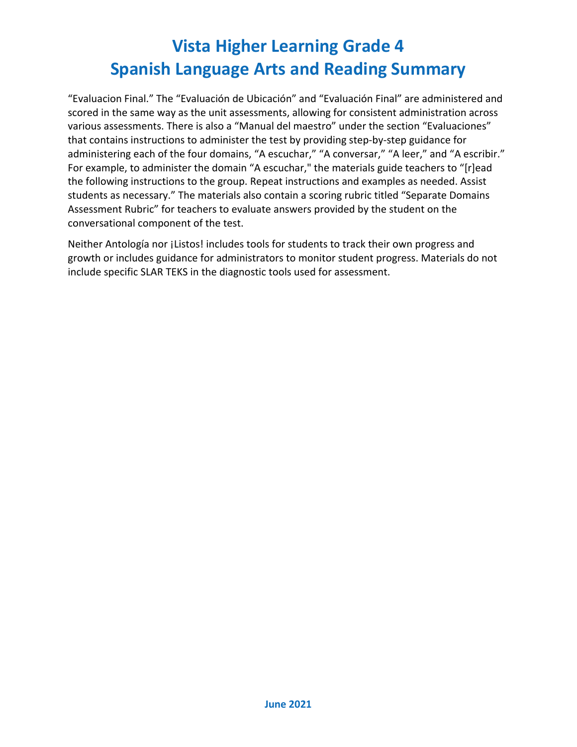"Evaluacion Final." The "Evaluación de Ubicación" and "Evaluación Final" are administered and scored in the same way as the unit assessments, allowing for consistent administration across various assessments. There is also a "Manual del maestro" under the section "Evaluaciones" that contains instructions to administer the test by providing step-by-step guidance for administering each of the four domains, "A escuchar," "A conversar," "A leer," and "A escribir." For example, to administer the domain "A escuchar," the materials guide teachers to "[r]ead the following instructions to the group. Repeat instructions and examples as needed. Assist students as necessary." The materials also contain a scoring rubric titled "Separate Domains Assessment Rubric" for teachers to evaluate answers provided by the student on the conversational component of the test.

Neither Antología nor ¡Listos! includes tools for students to track their own progress and growth or includes guidance for administrators to monitor student progress. Materials do not include specific SLAR TEKS in the diagnostic tools used for assessment.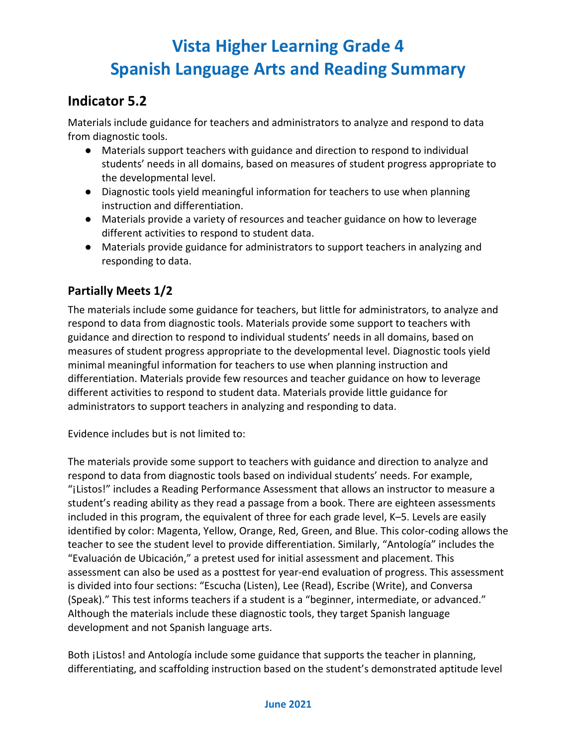## **Indicator 5.2**

Materials include guidance for teachers and administrators to analyze and respond to data from diagnostic tools.

- Materials support teachers with guidance and direction to respond to individual students' needs in all domains, based on measures of student progress appropriate to the developmental level.
- Diagnostic tools yield meaningful information for teachers to use when planning instruction and differentiation.
- Materials provide a variety of resources and teacher guidance on how to leverage different activities to respond to student data.
- Materials provide guidance for administrators to support teachers in analyzing and responding to data.

### **Partially Meets 1/2**

The materials include some guidance for teachers, but little for administrators, to analyze and respond to data from diagnostic tools. Materials provide some support to teachers with guidance and direction to respond to individual students' needs in all domains, based on measures of student progress appropriate to the developmental level. Diagnostic tools yield minimal meaningful information for teachers to use when planning instruction and differentiation. Materials provide few resources and teacher guidance on how to leverage different activities to respond to student data. Materials provide little guidance for administrators to support teachers in analyzing and responding to data.

Evidence includes but is not limited to:

The materials provide some support to teachers with guidance and direction to analyze and respond to data from diagnostic tools based on individual students' needs. For example, "¡Listos!" includes a Reading Performance Assessment that allows an instructor to measure a student's reading ability as they read a passage from a book. There are eighteen assessments included in this program, the equivalent of three for each grade level, K–5. Levels are easily identified by color: Magenta, Yellow, Orange, Red, Green, and Blue. This color-coding allows the teacher to see the student level to provide differentiation. Similarly, "Antología" includes the "Evaluación de Ubicación," a pretest used for initial assessment and placement. This assessment can also be used as a posttest for year-end evaluation of progress. This assessment is divided into four sections: "Escucha (Listen), Lee (Read), Escribe (Write), and Conversa (Speak)." This test informs teachers if a student is a "beginner, intermediate, or advanced." Although the materials include these diagnostic tools, they target Spanish language development and not Spanish language arts.

Both ¡Listos! and Antología include some guidance that supports the teacher in planning, differentiating, and scaffolding instruction based on the student's demonstrated aptitude level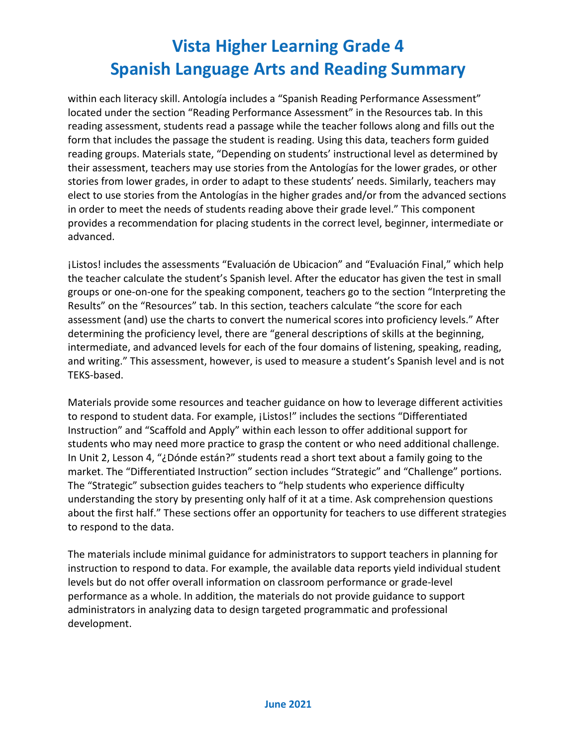within each literacy skill. Antología includes a "Spanish Reading Performance Assessment" located under the section "Reading Performance Assessment" in the Resources tab. In this reading assessment, students read a passage while the teacher follows along and fills out the form that includes the passage the student is reading. Using this data, teachers form guided reading groups. Materials state, "Depending on students' instructional level as determined by their assessment, teachers may use stories from the Antologías for the lower grades, or other stories from lower grades, in order to adapt to these students' needs. Similarly, teachers may elect to use stories from the Antologías in the higher grades and/or from the advanced sections in order to meet the needs of students reading above their grade level." This component provides a recommendation for placing students in the correct level, beginner, intermediate or advanced.

¡Listos! includes the assessments "Evaluación de Ubicacion" and "Evaluación Final," which help the teacher calculate the student's Spanish level. After the educator has given the test in small groups or one-on-one for the speaking component, teachers go to the section "Interpreting the Results" on the "Resources" tab. In this section, teachers calculate "the score for each assessment (and) use the charts to convert the numerical scores into proficiency levels." After determining the proficiency level, there are "general descriptions of skills at the beginning, intermediate, and advanced levels for each of the four domains of listening, speaking, reading, and writing." This assessment, however, is used to measure a student's Spanish level and is not TEKS-based.

Materials provide some resources and teacher guidance on how to leverage different activities to respond to student data. For example, ¡Listos!" includes the sections "Differentiated Instruction" and "Scaffold and Apply" within each lesson to offer additional support for students who may need more practice to grasp the content or who need additional challenge. In Unit 2, Lesson 4, "¿Dónde están?" students read a short text about a family going to the market. The "Differentiated Instruction" section includes "Strategic" and "Challenge" portions. The "Strategic" subsection guides teachers to "help students who experience difficulty understanding the story by presenting only half of it at a time. Ask comprehension questions about the first half." These sections offer an opportunity for teachers to use different strategies to respond to the data.

The materials include minimal guidance for administrators to support teachers in planning for instruction to respond to data. For example, the available data reports yield individual student levels but do not offer overall information on classroom performance or grade-level performance as a whole. In addition, the materials do not provide guidance to support administrators in analyzing data to design targeted programmatic and professional development.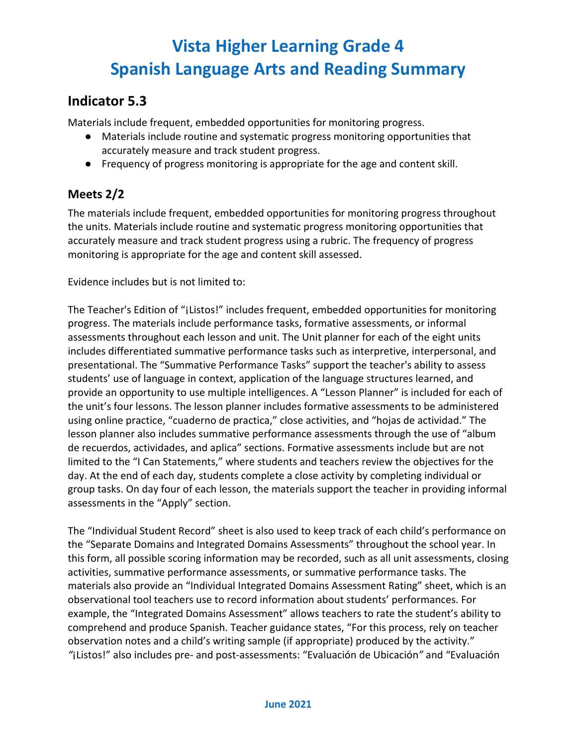### **Indicator 5.3**

Materials include frequent, embedded opportunities for monitoring progress.

- Materials include routine and systematic progress monitoring opportunities that accurately measure and track student progress.
- Frequency of progress monitoring is appropriate for the age and content skill.

### **Meets 2/2**

The materials include frequent, embedded opportunities for monitoring progress throughout the units. Materials include routine and systematic progress monitoring opportunities that accurately measure and track student progress using a rubric. The frequency of progress monitoring is appropriate for the age and content skill assessed.

Evidence includes but is not limited to:

The Teacher's Edition of "¡Listos!" includes frequent, embedded opportunities for monitoring progress. The materials include performance tasks, formative assessments, or informal assessments throughout each lesson and unit. The Unit planner for each of the eight units includes differentiated summative performance tasks such as interpretive, interpersonal, and presentational. The "Summative Performance Tasks" support the teacher's ability to assess students' use of language in context, application of the language structures learned, and provide an opportunity to use multiple intelligences. A "Lesson Planner" is included for each of the unit's four lessons. The lesson planner includes formative assessments to be administered using online practice, "cuaderno de practica," close activities, and "hojas de actividad." The lesson planner also includes summative performance assessments through the use of "album de recuerdos, actividades, and aplica" sections. Formative assessments include but are not limited to the "I Can Statements," where students and teachers review the objectives for the day. At the end of each day, students complete a close activity by completing individual or group tasks. On day four of each lesson, the materials support the teacher in providing informal assessments in the "Apply" section.

The "Individual Student Record" sheet is also used to keep track of each child's performance on the "Separate Domains and Integrated Domains Assessments" throughout the school year. In this form, all possible scoring information may be recorded, such as all unit assessments, closing activities, summative performance assessments, or summative performance tasks. The materials also provide an "Individual Integrated Domains Assessment Rating" sheet, which is an observational tool teachers use to record information about students' performances. For example, the "Integrated Domains Assessment" allows teachers to rate the student's ability to comprehend and produce Spanish. Teacher guidance states, "For this process, rely on teacher observation notes and a child's writing sample (if appropriate) produced by the activity." *"*¡Listos!" also includes pre- and post-assessments: "Evaluación de Ubicación*"* and "Evaluación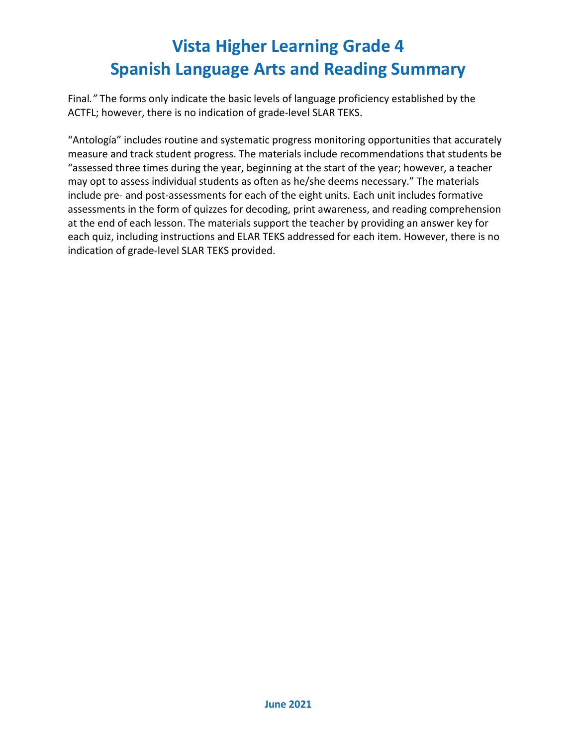Final*."* The forms only indicate the basic levels of language proficiency established by the ACTFL; however, there is no indication of grade-level SLAR TEKS.

"Antología" includes routine and systematic progress monitoring opportunities that accurately measure and track student progress. The materials include recommendations that students be "assessed three times during the year, beginning at the start of the year; however, a teacher may opt to assess individual students as often as he/she deems necessary." The materials include pre- and post-assessments for each of the eight units. Each unit includes formative assessments in the form of quizzes for decoding, print awareness, and reading comprehension at the end of each lesson. The materials support the teacher by providing an answer key for each quiz, including instructions and ELAR TEKS addressed for each item. However, there is no indication of grade-level SLAR TEKS provided.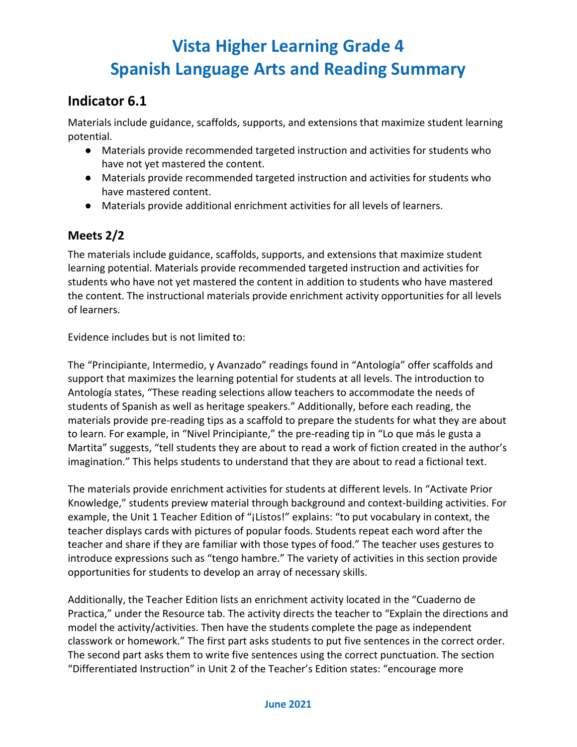## **Indicator 6.1**

Materials include guidance, scaffolds, supports, and extensions that maximize student learning potential.

- Materials provide recommended targeted instruction and activities for students who have not yet mastered the content.
- Materials provide recommended targeted instruction and activities for students who have mastered content.
- Materials provide additional enrichment activities for all levels of learners.

### **Meets 2/2**

The materials include guidance, scaffolds, supports, and extensions that maximize student learning potential. Materials provide recommended targeted instruction and activities for students who have not yet mastered the content in addition to students who have mastered the content. The instructional materials provide enrichment activity opportunities for all levels of learners.

Evidence includes but is not limited to:

The "Principiante, Intermedio, y Avanzado" readings found in "Antología" offer scaffolds and support that maximizes the learning potential for students at all levels. The introduction to Antología states, "These reading selections allow teachers to accommodate the needs of students of Spanish as well as heritage speakers." Additionally, before each reading, the materials provide pre-reading tips as a scaffold to prepare the students for what they are about to learn. For example, in "Nivel Principiante," the pre-reading tip in "Lo que más le gusta a Martita" suggests, "tell students they are about to read a work of fiction created in the author's imagination." This helps students to understand that they are about to read a fictional text.

The materials provide enrichment activities for students at different levels. In "Activate Prior Knowledge," students preview material through background and context-building activities. For example, the Unit 1 Teacher Edition of "¡Listos!" explains: "to put vocabulary in context, the teacher displays cards with pictures of popular foods. Students repeat each word after the teacher and share if they are familiar with those types of food." The teacher uses gestures to introduce expressions such as "tengo hambre." The variety of activities in this section provide opportunities for students to develop an array of necessary skills.

Additionally, the Teacher Edition lists an enrichment activity located in the "Cuaderno de Practica," under the Resource tab. The activity directs the teacher to "Explain the directions and model the activity/activities. Then have the students complete the page as independent classwork or homework." The first part asks students to put five sentences in the correct order. The second part asks them to write five sentences using the correct punctuation. The section "Differentiated Instruction" in Unit 2 of the Teacher's Edition states: "encourage more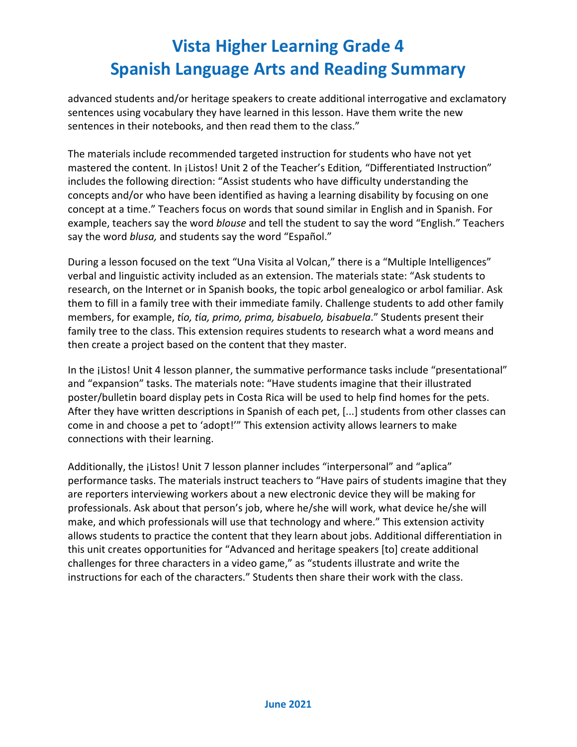advanced students and/or heritage speakers to create additional interrogative and exclamatory sentences using vocabulary they have learned in this lesson. Have them write the new sentences in their notebooks, and then read them to the class."

The materials include recommended targeted instruction for students who have not yet mastered the content. In ¡Listos! Unit 2 of the Teacher's Edition*,* "Differentiated Instruction" includes the following direction: "Assist students who have difficulty understanding the concepts and/or who have been identified as having a learning disability by focusing on one concept at a time." Teachers focus on words that sound similar in English and in Spanish. For example, teachers say the word *blouse* and tell the student to say the word "English." Teachers say the word *blusa,* and students say the word "Español."

During a lesson focused on the text "Una Visita al Volcan," there is a "Multiple Intelligences" verbal and linguistic activity included as an extension. The materials state: "Ask students to research, on the Internet or in Spanish books, the topic arbol genealogico or arbol familiar. Ask them to fill in a family tree with their immediate family. Challenge students to add other family members, for example, *t*í*o, t*í*a, primo, prima, bisabuelo, bisabuela*." Students present their family tree to the class. This extension requires students to research what a word means and then create a project based on the content that they master.

In the ¡Listos! Unit 4 lesson planner, the summative performance tasks include "presentational" and "expansion" tasks. The materials note: "Have students imagine that their illustrated poster/bulletin board display pets in Costa Rica will be used to help find homes for the pets. After they have written descriptions in Spanish of each pet, [...] students from other classes can come in and choose a pet to 'adopt!'" This extension activity allows learners to make connections with their learning.

Additionally, the ¡Listos! Unit 7 lesson planner includes "interpersonal" and "aplica" performance tasks. The materials instruct teachers to "Have pairs of students imagine that they are reporters interviewing workers about a new electronic device they will be making for professionals. Ask about that person's job, where he/she will work, what device he/she will make, and which professionals will use that technology and where." This extension activity allows students to practice the content that they learn about jobs. Additional differentiation in this unit creates opportunities for "Advanced and heritage speakers [to] create additional challenges for three characters in a video game," as "students illustrate and write the instructions for each of the characters." Students then share their work with the class.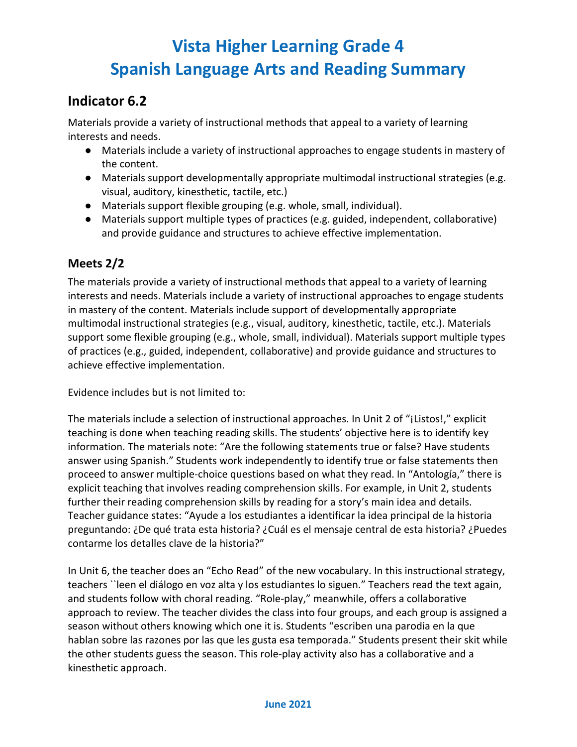## **Indicator 6.2**

Materials provide a variety of instructional methods that appeal to a variety of learning interests and needs.

- Materials include a variety of instructional approaches to engage students in mastery of the content.
- Materials support developmentally appropriate multimodal instructional strategies (e.g. visual, auditory, kinesthetic, tactile, etc.)
- Materials support flexible grouping (e.g. whole, small, individual).
- Materials support multiple types of practices (e.g. guided, independent, collaborative) and provide guidance and structures to achieve effective implementation.

### **Meets 2/2**

The materials provide a variety of instructional methods that appeal to a variety of learning interests and needs. Materials include a variety of instructional approaches to engage students in mastery of the content. Materials include support of developmentally appropriate multimodal instructional strategies (e.g., visual, auditory, kinesthetic, tactile, etc.). Materials support some flexible grouping (e.g., whole, small, individual). Materials support multiple types of practices (e.g., guided, independent, collaborative) and provide guidance and structures to achieve effective implementation.

Evidence includes but is not limited to:

The materials include a selection of instructional approaches. In Unit 2 of "¡Listos!," explicit teaching is done when teaching reading skills. The students' objective here is to identify key information. The materials note: "Are the following statements true or false? Have students answer using Spanish." Students work independently to identify true or false statements then proceed to answer multiple-choice questions based on what they read. In "Antología," there is explicit teaching that involves reading comprehension skills. For example, in Unit 2, students further their reading comprehension skills by reading for a story's main idea and details. Teacher guidance states: "Ayude a los estudiantes a identificar la idea principal de la historia preguntando: ¿De qué trata esta historia? ¿Cuál es el mensaje central de esta historia? ¿Puedes contarme los detalles clave de la historia?"

In Unit 6, the teacher does an "Echo Read" of the new vocabulary. In this instructional strategy, teachers ``leen el diálogo en voz alta y los estudiantes lo siguen." Teachers read the text again, and students follow with choral reading. "Role-play," meanwhile, offers a collaborative approach to review. The teacher divides the class into four groups, and each group is assigned a season without others knowing which one it is. Students "escriben una parodia en la que hablan sobre las razones por las que les gusta esa temporada." Students present their skit while the other students guess the season. This role-play activity also has a collaborative and a kinesthetic approach.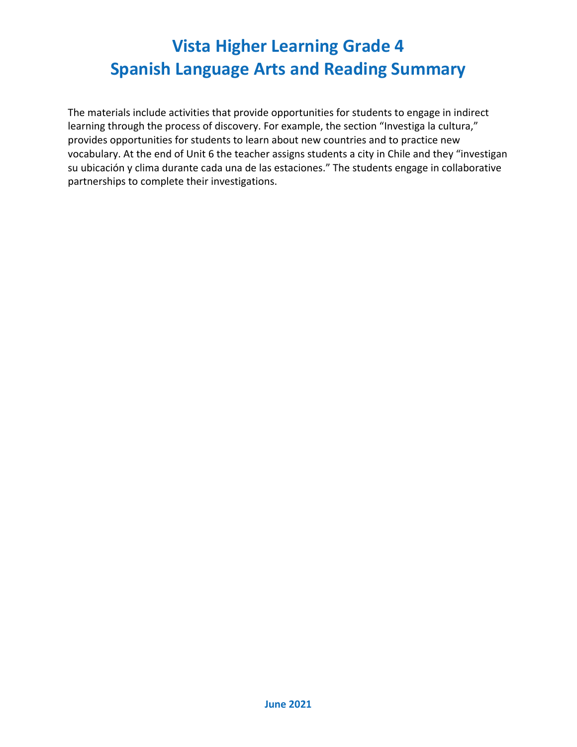The materials include activities that provide opportunities for students to engage in indirect learning through the process of discovery. For example, the section "Investiga la cultura," provides opportunities for students to learn about new countries and to practice new vocabulary. At the end of Unit 6 the teacher assigns students a city in Chile and they "investigan su ubicación y clima durante cada una de las estaciones." The students engage in collaborative partnerships to complete their investigations.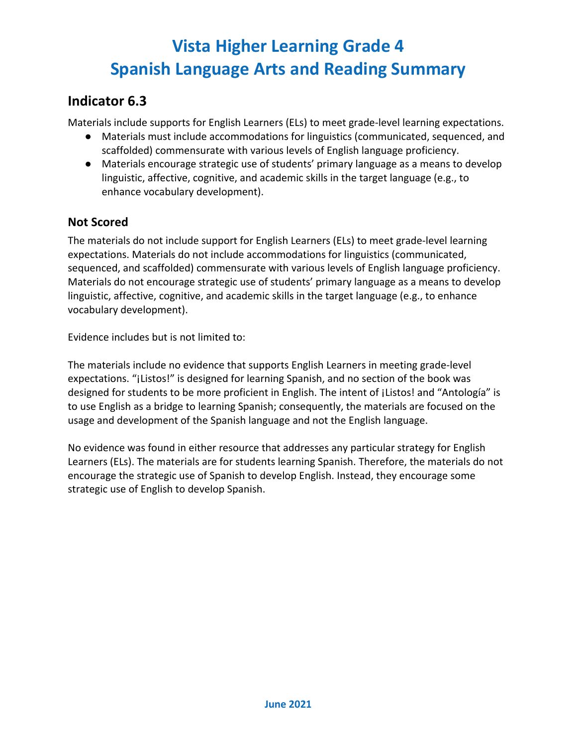### **Indicator 6.3**

Materials include supports for English Learners (ELs) to meet grade-level learning expectations.

- Materials must include accommodations for linguistics (communicated, sequenced, and scaffolded) commensurate with various levels of English language proficiency.
- Materials encourage strategic use of students' primary language as a means to develop linguistic, affective, cognitive, and academic skills in the target language (e.g., to enhance vocabulary development).

### **Not Scored**

The materials do not include support for English Learners (ELs) to meet grade-level learning expectations. Materials do not include accommodations for linguistics (communicated, sequenced, and scaffolded) commensurate with various levels of English language proficiency. Materials do not encourage strategic use of students' primary language as a means to develop linguistic, affective, cognitive, and academic skills in the target language (e.g., to enhance vocabulary development).

Evidence includes but is not limited to:

The materials include no evidence that supports English Learners in meeting grade-level expectations. "¡Listos!" is designed for learning Spanish, and no section of the book was designed for students to be more proficient in English. The intent of ¡Listos! and "Antología" is to use English as a bridge to learning Spanish; consequently, the materials are focused on the usage and development of the Spanish language and not the English language.

No evidence was found in either resource that addresses any particular strategy for English Learners (ELs). The materials are for students learning Spanish. Therefore, the materials do not encourage the strategic use of Spanish to develop English. Instead, they encourage some strategic use of English to develop Spanish.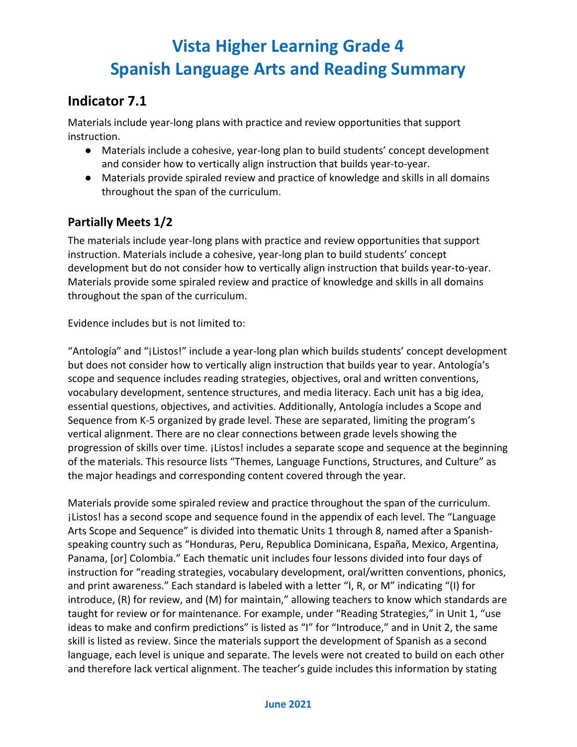## **Indicator 7.1**

Materials include year-long plans with practice and review opportunities that support instruction.

- Materials include a cohesive, year-long plan to build students' concept development and consider how to vertically align instruction that builds year-to-year.
- Materials provide spiraled review and practice of knowledge and skills in all domains throughout the span of the curriculum.

### **Partially Meets 1/2**

The materials include year-long plans with practice and review opportunities that support instruction. Materials include a cohesive, year-long plan to build students' concept development but do not consider how to vertically align instruction that builds year-to-year. Materials provide some spiraled review and practice of knowledge and skills in all domains throughout the span of the curriculum.

Evidence includes but is not limited to:

"Antología" and "¡Listos!" include a year-long plan which builds students' concept development but does not consider how to vertically align instruction that builds year to year. Antología's scope and sequence includes reading strategies, objectives, oral and written conventions, vocabulary development, sentence structures, and media literacy. Each unit has a big idea, essential questions, objectives, and activities. Additionally, Antología includes a Scope and Sequence from K-5 organized by grade level. These are separated, limiting the program's vertical alignment. There are no clear connections between grade levels showing the progression of skills over time. ¡Listos! includes a separate scope and sequence at the beginning of the materials. This resource lists "Themes, Language Functions, Structures, and Culture" as the major headings and corresponding content covered through the year.

Materials provide some spiraled review and practice throughout the span of the curriculum. ¡Listos! has a second scope and sequence found in the appendix of each level. The "Language Arts Scope and Sequence" is divided into thematic Units 1 through 8, named after a Spanishspeaking country such as "Honduras, Peru, Republica Dominicana, España, Mexico, Argentina, Panama, [or] Colombia." Each thematic unit includes four lessons divided into four days of instruction for "reading strategies, vocabulary development, oral/written conventions, phonics, and print awareness." Each standard is labeled with a letter "I, R, or M" indicating "(I) for introduce, (R) for review, and (M) for maintain," allowing teachers to know which standards are taught for review or for maintenance. For example, under "Reading Strategies," in Unit 1, "use ideas to make and confirm predictions" is listed as "I" for "Introduce," and in Unit 2, the same skill is listed as review. Since the materials support the development of Spanish as a second language, each level is unique and separate. The levels were not created to build on each other and therefore lack vertical alignment. The teacher's guide includes this information by stating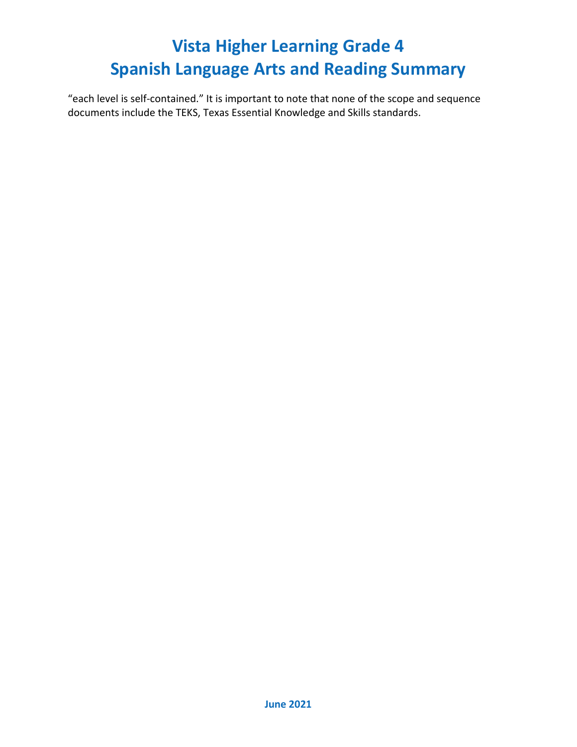"each level is self-contained." It is important to note that none of the scope and sequence documents include the TEKS, Texas Essential Knowledge and Skills standards.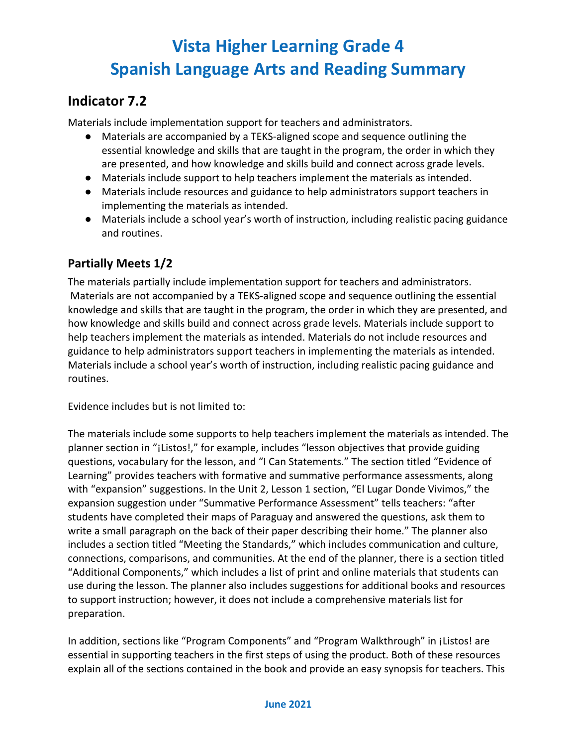## **Indicator 7.2**

Materials include implementation support for teachers and administrators.

- Materials are accompanied by a TEKS-aligned scope and sequence outlining the essential knowledge and skills that are taught in the program, the order in which they are presented, and how knowledge and skills build and connect across grade levels.
- Materials include support to help teachers implement the materials as intended.
- Materials include resources and guidance to help administrators support teachers in implementing the materials as intended.
- Materials include a school year's worth of instruction, including realistic pacing guidance and routines.

#### **Partially Meets 1/2**

The materials partially include implementation support for teachers and administrators. Materials are not accompanied by a TEKS-aligned scope and sequence outlining the essential knowledge and skills that are taught in the program, the order in which they are presented, and how knowledge and skills build and connect across grade levels. Materials include support to help teachers implement the materials as intended. Materials do not include resources and guidance to help administrators support teachers in implementing the materials as intended. Materials include a school year's worth of instruction, including realistic pacing guidance and routines.

Evidence includes but is not limited to:

The materials include some supports to help teachers implement the materials as intended. The planner section in "¡Listos!," for example, includes "lesson objectives that provide guiding questions, vocabulary for the lesson, and "I Can Statements." The section titled "Evidence of Learning" provides teachers with formative and summative performance assessments, along with "expansion" suggestions. In the Unit 2, Lesson 1 section, "El Lugar Donde Vivimos," the expansion suggestion under "Summative Performance Assessment" tells teachers: "after students have completed their maps of Paraguay and answered the questions, ask them to write a small paragraph on the back of their paper describing their home." The planner also includes a section titled "Meeting the Standards," which includes communication and culture, connections, comparisons, and communities. At the end of the planner, there is a section titled "Additional Components," which includes a list of print and online materials that students can use during the lesson. The planner also includes suggestions for additional books and resources to support instruction; however, it does not include a comprehensive materials list for preparation.

In addition, sections like "Program Components" and "Program Walkthrough" in ¡Listos! are essential in supporting teachers in the first steps of using the product. Both of these resources explain all of the sections contained in the book and provide an easy synopsis for teachers. This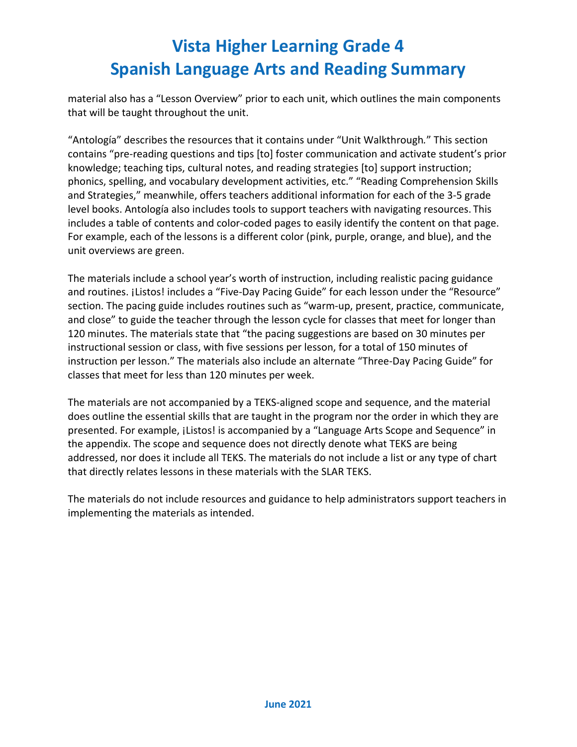material also has a "Lesson Overview" prior to each unit, which outlines the main components that will be taught throughout the unit.

"Antología" describes the resources that it contains under "Unit Walkthrough*.*" This section contains "pre-reading questions and tips [to] foster communication and activate student's prior knowledge; teaching tips, cultural notes, and reading strategies [to] support instruction; phonics, spelling, and vocabulary development activities, etc." "Reading Comprehension Skills and Strategies," meanwhile, offers teachers additional information for each of the 3-5 grade level books. Antología also includes tools to support teachers with navigating resources. This includes a table of contents and color-coded pages to easily identify the content on that page. For example, each of the lessons is a different color (pink, purple, orange, and blue), and the unit overviews are green.

The materials include a school year's worth of instruction, including realistic pacing guidance and routines. ¡Listos! includes a "Five-Day Pacing Guide" for each lesson under the "Resource" section. The pacing guide includes routines such as "warm-up, present, practice, communicate, and close" to guide the teacher through the lesson cycle for classes that meet for longer than 120 minutes. The materials state that "the pacing suggestions are based on 30 minutes per instructional session or class, with five sessions per lesson, for a total of 150 minutes of instruction per lesson." The materials also include an alternate "Three-Day Pacing Guide" for classes that meet for less than 120 minutes per week.

The materials are not accompanied by a TEKS-aligned scope and sequence, and the material does outline the essential skills that are taught in the program nor the order in which they are presented. For example, ¡Listos! is accompanied by a "Language Arts Scope and Sequence" in the appendix. The scope and sequence does not directly denote what TEKS are being addressed, nor does it include all TEKS. The materials do not include a list or any type of chart that directly relates lessons in these materials with the SLAR TEKS.

The materials do not include resources and guidance to help administrators support teachers in implementing the materials as intended.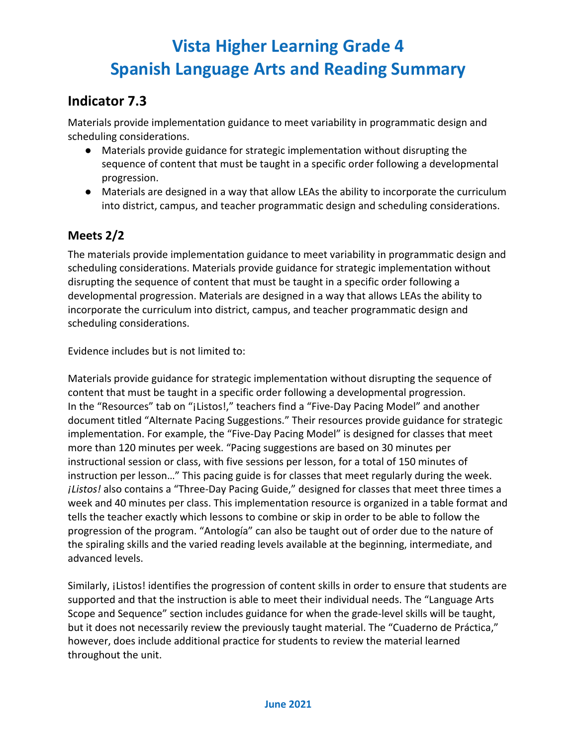## **Indicator 7.3**

Materials provide implementation guidance to meet variability in programmatic design and scheduling considerations.

- Materials provide guidance for strategic implementation without disrupting the sequence of content that must be taught in a specific order following a developmental progression.
- Materials are designed in a way that allow LEAs the ability to incorporate the curriculum into district, campus, and teacher programmatic design and scheduling considerations.

### **Meets 2/2**

The materials provide implementation guidance to meet variability in programmatic design and scheduling considerations. Materials provide guidance for strategic implementation without disrupting the sequence of content that must be taught in a specific order following a developmental progression. Materials are designed in a way that allows LEAs the ability to incorporate the curriculum into district, campus, and teacher programmatic design and scheduling considerations.

Evidence includes but is not limited to:

Materials provide guidance for strategic implementation without disrupting the sequence of content that must be taught in a specific order following a developmental progression. In the "Resources" tab on "¡Listos!," teachers find a "Five-Day Pacing Model" and another document titled "Alternate Pacing Suggestions." Their resources provide guidance for strategic implementation. For example, the "Five-Day Pacing Model" is designed for classes that meet more than 120 minutes per week. "Pacing suggestions are based on 30 minutes per instructional session or class, with five sessions per lesson, for a total of 150 minutes of instruction per lesson…" This pacing guide is for classes that meet regularly during the week. *¡Listos!* also contains a "Three-Day Pacing Guide," designed for classes that meet three times a week and 40 minutes per class. This implementation resource is organized in a table format and tells the teacher exactly which lessons to combine or skip in order to be able to follow the progression of the program. "Antología" can also be taught out of order due to the nature of the spiraling skills and the varied reading levels available at the beginning, intermediate, and advanced levels.

Similarly, ¡Listos! identifies the progression of content skills in order to ensure that students are supported and that the instruction is able to meet their individual needs. The "Language Arts Scope and Sequence" section includes guidance for when the grade-level skills will be taught, but it does not necessarily review the previously taught material. The "Cuaderno de Práctica," however, does include additional practice for students to review the material learned throughout the unit.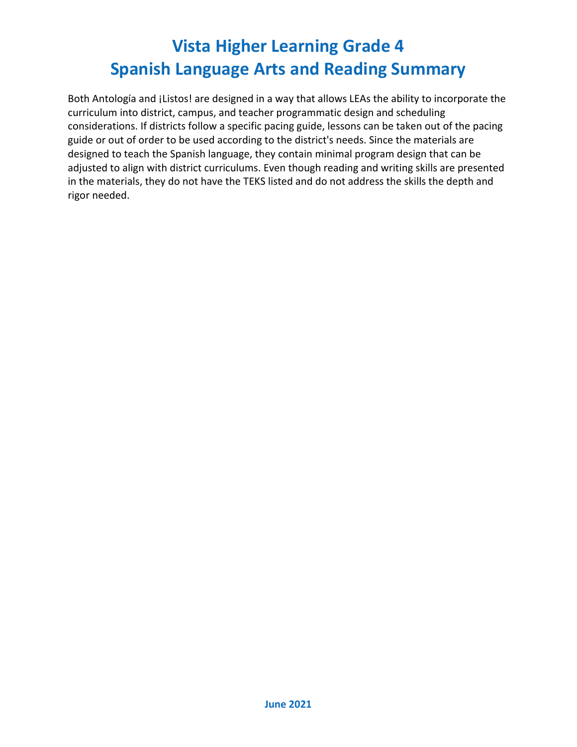Both Antología and ¡Listos! are designed in a way that allows LEAs the ability to incorporate the curriculum into district, campus, and teacher programmatic design and scheduling considerations. If districts follow a specific pacing guide, lessons can be taken out of the pacing guide or out of order to be used according to the district's needs. Since the materials are designed to teach the Spanish language, they contain minimal program design that can be adjusted to align with district curriculums. Even though reading and writing skills are presented in the materials, they do not have the TEKS listed and do not address the skills the depth and rigor needed.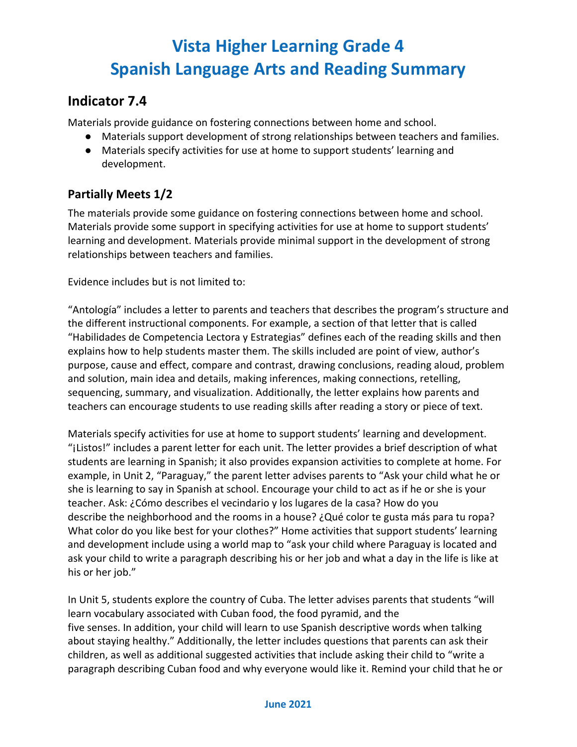## **Indicator 7.4**

Materials provide guidance on fostering connections between home and school.

- Materials support development of strong relationships between teachers and families.
- Materials specify activities for use at home to support students' learning and development.

### **Partially Meets 1/2**

The materials provide some guidance on fostering connections between home and school. Materials provide some support in specifying activities for use at home to support students' learning and development. Materials provide minimal support in the development of strong relationships between teachers and families.

Evidence includes but is not limited to:

"Antología" includes a letter to parents and teachers that describes the program's structure and the different instructional components. For example, a section of that letter that is called "Habilidades de Competencia Lectora y Estrategias" defines each of the reading skills and then explains how to help students master them. The skills included are point of view, author's purpose, cause and effect, compare and contrast, drawing conclusions, reading aloud, problem and solution, main idea and details, making inferences, making connections, retelling, sequencing, summary, and visualization. Additionally, the letter explains how parents and teachers can encourage students to use reading skills after reading a story or piece of text.

Materials specify activities for use at home to support students' learning and development. "¡Listos!" includes a parent letter for each unit. The letter provides a brief description of what students are learning in Spanish; it also provides expansion activities to complete at home. For example, in Unit 2, "Paraguay," the parent letter advises parents to "Ask your child what he or she is learning to say in Spanish at school. Encourage your child to act as if he or she is your teacher. Ask: ¿Cómo describes el vecindario y los lugares de la casa? How do you describe the neighborhood and the rooms in a house? ¿Qué color te gusta más para tu ropa? What color do you like best for your clothes?" Home activities that support students' learning and development include using a world map to "ask your child where Paraguay is located and ask your child to write a paragraph describing his or her job and what a day in the life is like at his or her job."

In Unit 5, students explore the country of Cuba. The letter advises parents that students "will learn vocabulary associated with Cuban food, the food pyramid, and the five senses. In addition, your child will learn to use Spanish descriptive words when talking about staying healthy." Additionally, the letter includes questions that parents can ask their children, as well as additional suggested activities that include asking their child to "write a paragraph describing Cuban food and why everyone would like it. Remind your child that he or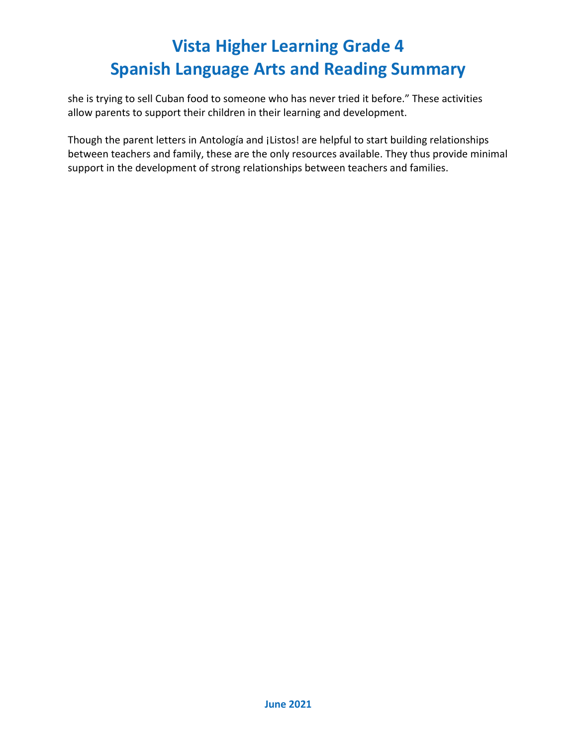she is trying to sell Cuban food to someone who has never tried it before." These activities allow parents to support their children in their learning and development.

Though the parent letters in Antología and ¡Listos! are helpful to start building relationships between teachers and family, these are the only resources available. They thus provide minimal support in the development of strong relationships between teachers and families.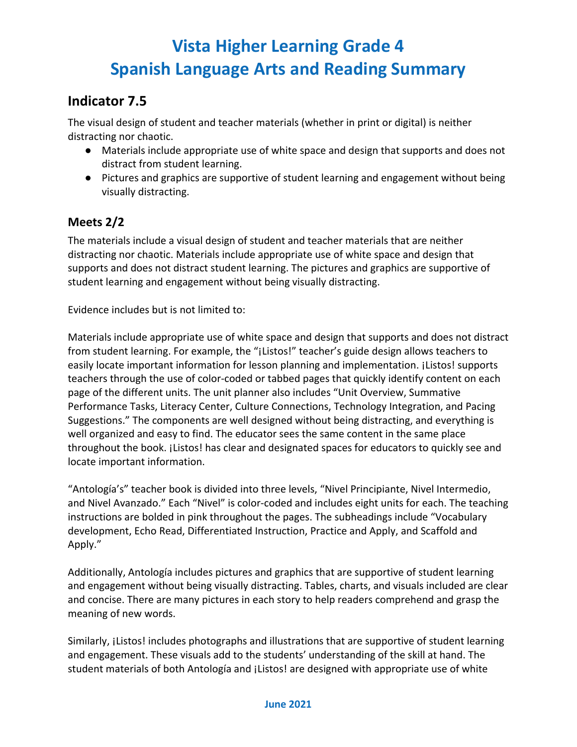## **Indicator 7.5**

The visual design of student and teacher materials (whether in print or digital) is neither distracting nor chaotic.

- Materials include appropriate use of white space and design that supports and does not distract from student learning.
- Pictures and graphics are supportive of student learning and engagement without being visually distracting.

### **Meets 2/2**

The materials include a visual design of student and teacher materials that are neither distracting nor chaotic. Materials include appropriate use of white space and design that supports and does not distract student learning. The pictures and graphics are supportive of student learning and engagement without being visually distracting.

Evidence includes but is not limited to:

Materials include appropriate use of white space and design that supports and does not distract from student learning. For example, the "¡Listos!" teacher's guide design allows teachers to easily locate important information for lesson planning and implementation. ¡Listos! supports teachers through the use of color-coded or tabbed pages that quickly identify content on each page of the different units. The unit planner also includes "Unit Overview, Summative Performance Tasks, Literacy Center, Culture Connections, Technology Integration, and Pacing Suggestions." The components are well designed without being distracting, and everything is well organized and easy to find. The educator sees the same content in the same place throughout the book. ¡Listos! has clear and designated spaces for educators to quickly see and locate important information.

"Antología's" teacher book is divided into three levels, "Nivel Principiante, Nivel Intermedio, and Nivel Avanzado." Each "Nivel" is color-coded and includes eight units for each. The teaching instructions are bolded in pink throughout the pages. The subheadings include "Vocabulary development, Echo Read, Differentiated Instruction, Practice and Apply, and Scaffold and Apply."

Additionally, Antología includes pictures and graphics that are supportive of student learning and engagement without being visually distracting. Tables, charts, and visuals included are clear and concise. There are many pictures in each story to help readers comprehend and grasp the meaning of new words.

Similarly, *i*Listos! includes photographs and illustrations that are supportive of student learning and engagement. These visuals add to the students' understanding of the skill at hand. The student materials of both Antología and ¡Listos! are designed with appropriate use of white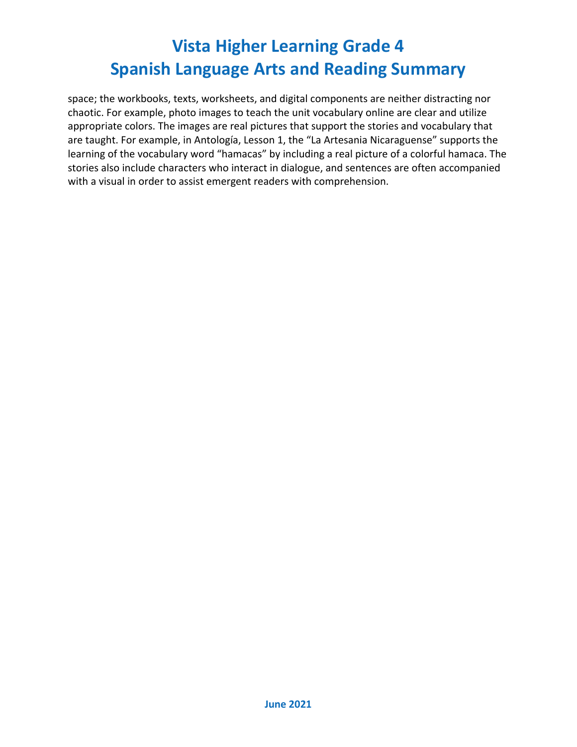space; the workbooks, texts, worksheets, and digital components are neither distracting nor chaotic. For example, photo images to teach the unit vocabulary online are clear and utilize appropriate colors. The images are real pictures that support the stories and vocabulary that are taught. For example, in Antología, Lesson 1, the "La Artesania Nicaraguense" supports the learning of the vocabulary word "hamacas" by including a real picture of a colorful hamaca. The stories also include characters who interact in dialogue, and sentences are often accompanied with a visual in order to assist emergent readers with comprehension.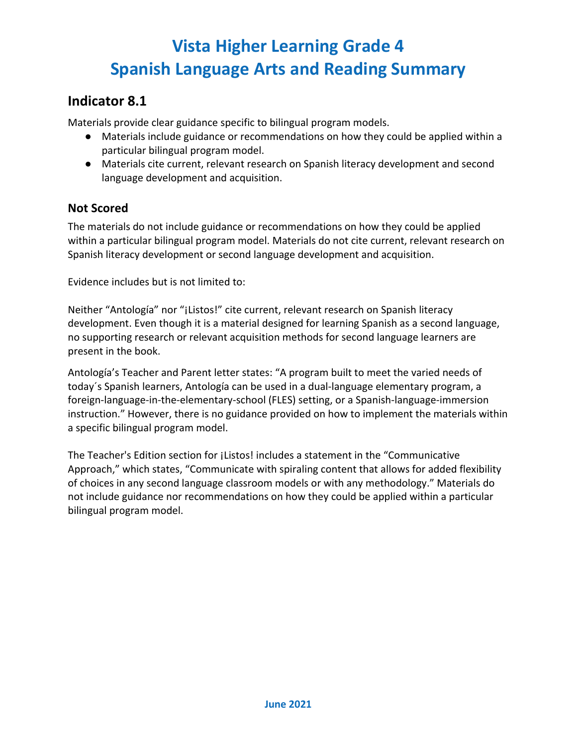### **Indicator 8.1**

Materials provide clear guidance specific to bilingual program models.

- Materials include guidance or recommendations on how they could be applied within a particular bilingual program model.
- Materials cite current, relevant research on Spanish literacy development and second language development and acquisition.

#### **Not Scored**

The materials do not include guidance or recommendations on how they could be applied within a particular bilingual program model. Materials do not cite current, relevant research on Spanish literacy development or second language development and acquisition.

Evidence includes but is not limited to:

Neither "Antología" nor "¡Listos!" cite current, relevant research on Spanish literacy development. Even though it is a material designed for learning Spanish as a second language, no supporting research or relevant acquisition methods for second language learners are present in the book.

Antología's Teacher and Parent letter states: "A program built to meet the varied needs of today´s Spanish learners, Antología can be used in a dual-language elementary program, a foreign-language-in-the-elementary-school (FLES) setting, or a Spanish-language-immersion instruction." However, there is no guidance provided on how to implement the materials within a specific bilingual program model.

The Teacher's Edition section for ¡Listos! includes a statement in the "Communicative Approach," which states, "Communicate with spiraling content that allows for added flexibility of choices in any second language classroom models or with any methodology." Materials do not include guidance nor recommendations on how they could be applied within a particular bilingual program model.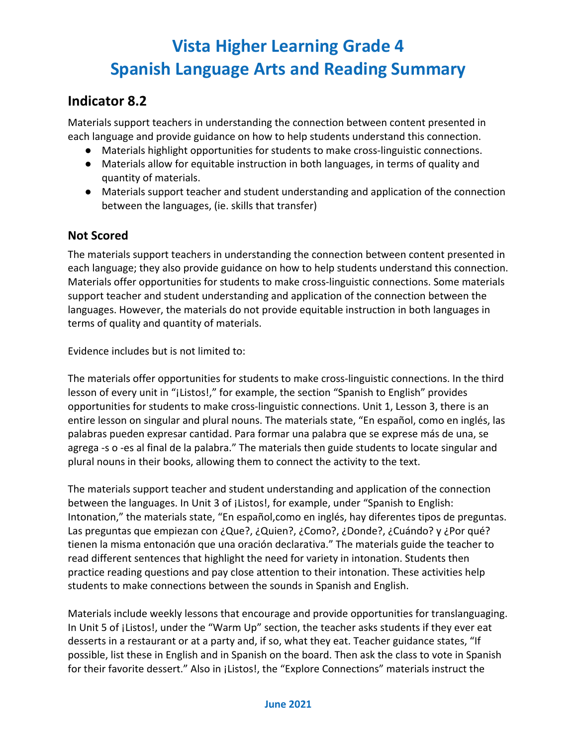## **Indicator 8.2**

Materials support teachers in understanding the connection between content presented in each language and provide guidance on how to help students understand this connection.

- Materials highlight opportunities for students to make cross-linguistic connections.
- Materials allow for equitable instruction in both languages, in terms of quality and quantity of materials.
- Materials support teacher and student understanding and application of the connection between the languages, (ie. skills that transfer)

### **Not Scored**

The materials support teachers in understanding the connection between content presented in each language; they also provide guidance on how to help students understand this connection. Materials offer opportunities for students to make cross-linguistic connections. Some materials support teacher and student understanding and application of the connection between the languages. However, the materials do not provide equitable instruction in both languages in terms of quality and quantity of materials.

Evidence includes but is not limited to:

The materials offer opportunities for students to make cross-linguistic connections. In the third lesson of every unit in "¡Listos!," for example, the section "Spanish to English" provides opportunities for students to make cross-linguistic connections. Unit 1, Lesson 3, there is an entire lesson on singular and plural nouns. The materials state, "En español, como en inglés, las palabras pueden expresar cantidad. Para formar una palabra que se exprese más de una, se agrega -s o -es al final de la palabra." The materials then guide students to locate singular and plural nouns in their books, allowing them to connect the activity to the text.

The materials support teacher and student understanding and application of the connection between the languages. In Unit 3 of ¡Listos!, for example, under "Spanish to English: Intonation," the materials state, "En español,como en inglés, hay diferentes tipos de preguntas. Las preguntas que empiezan con ¿Que?, ¿Quien?, ¿Como?, ¿Donde?, ¿Cuándo? y ¿Por qué? tienen la misma entonación que una oración declarativa." The materials guide the teacher to read different sentences that highlight the need for variety in intonation. Students then practice reading questions and pay close attention to their intonation. These activities help students to make connections between the sounds in Spanish and English.

Materials include weekly lessons that encourage and provide opportunities for translanguaging. In Unit 5 of ¡Listos!, under the "Warm Up" section, the teacher asks students if they ever eat desserts in a restaurant or at a party and, if so, what they eat. Teacher guidance states, "If possible, list these in English and in Spanish on the board. Then ask the class to vote in Spanish for their favorite dessert." Also in ¡Listos!, the "Explore Connections" materials instruct the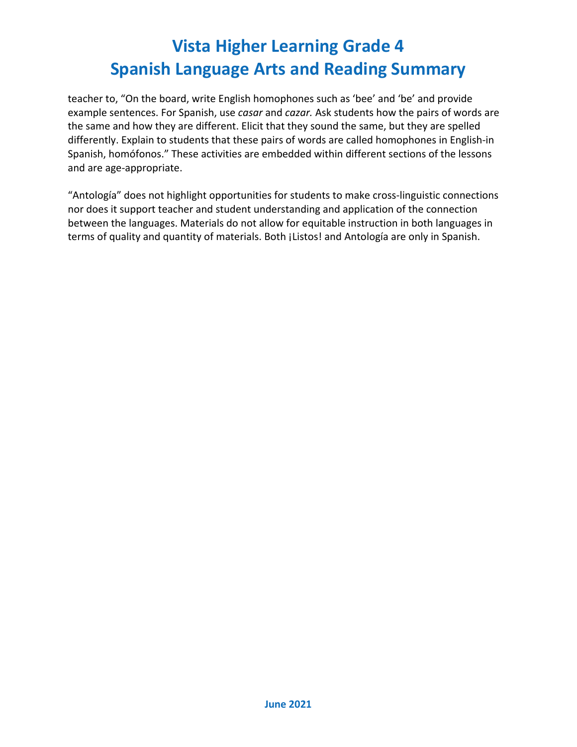teacher to, "On the board, write English homophones such as 'bee' and 'be' and provide example sentences. For Spanish, use *casar* and *cazar.* Ask students how the pairs of words are the same and how they are different. Elicit that they sound the same, but they are spelled differently. Explain to students that these pairs of words are called homophones in English-in Spanish, homófonos." These activities are embedded within different sections of the lessons and are age-appropriate.

"Antología" does not highlight opportunities for students to make cross-linguistic connections nor does it support teacher and student understanding and application of the connection between the languages. Materials do not allow for equitable instruction in both languages in terms of quality and quantity of materials. Both ¡Listos! and Antología are only in Spanish.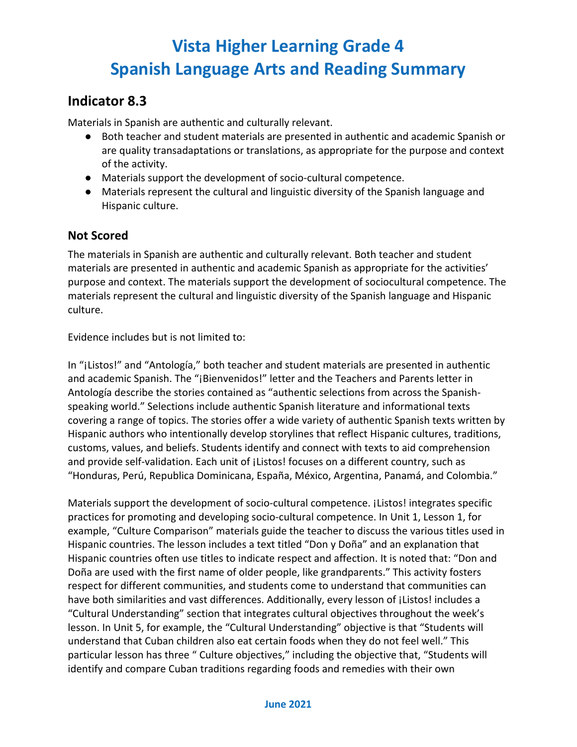### **Indicator 8.3**

Materials in Spanish are authentic and culturally relevant.

- Both teacher and student materials are presented in authentic and academic Spanish or are quality transadaptations or translations, as appropriate for the purpose and context of the activity.
- Materials support the development of socio-cultural competence.
- Materials represent the cultural and linguistic diversity of the Spanish language and Hispanic culture.

#### **Not Scored**

The materials in Spanish are authentic and culturally relevant. Both teacher and student materials are presented in authentic and academic Spanish as appropriate for the activities' purpose and context. The materials support the development of sociocultural competence. The materials represent the cultural and linguistic diversity of the Spanish language and Hispanic culture.

Evidence includes but is not limited to:

In "¡Listos!" and "Antología," both teacher and student materials are presented in authentic and academic Spanish. The "¡Bienvenidos!" letter and the Teachers and Parents letter in Antología describe the stories contained as "authentic selections from across the Spanishspeaking world." Selections include authentic Spanish literature and informational texts covering a range of topics. The stories offer a wide variety of authentic Spanish texts written by Hispanic authors who intentionally develop storylines that reflect Hispanic cultures, traditions, customs, values, and beliefs. Students identify and connect with texts to aid comprehension and provide self-validation. Each unit of *jListos! focuses on a different country*, such as "Honduras, Perú, Republica Dominicana, España, México, Argentina, Panamá, and Colombia."

Materials support the development of socio-cultural competence. ¡Listos! integrates specific practices for promoting and developing socio-cultural competence. In Unit 1, Lesson 1, for example, "Culture Comparison" materials guide the teacher to discuss the various titles used in Hispanic countries. The lesson includes a text titled "Don y Doña" and an explanation that Hispanic countries often use titles to indicate respect and affection. It is noted that: "Don and Doña are used with the first name of older people, like grandparents." This activity fosters respect for different communities, and students come to understand that communities can have both similarities and vast differences. Additionally, every lesson of *j*Listos! includes a "Cultural Understanding" section that integrates cultural objectives throughout the week's lesson. In Unit 5, for example, the "Cultural Understanding" objective is that "Students will understand that Cuban children also eat certain foods when they do not feel well." This particular lesson has three " Culture objectives," including the objective that, "Students will identify and compare Cuban traditions regarding foods and remedies with their own